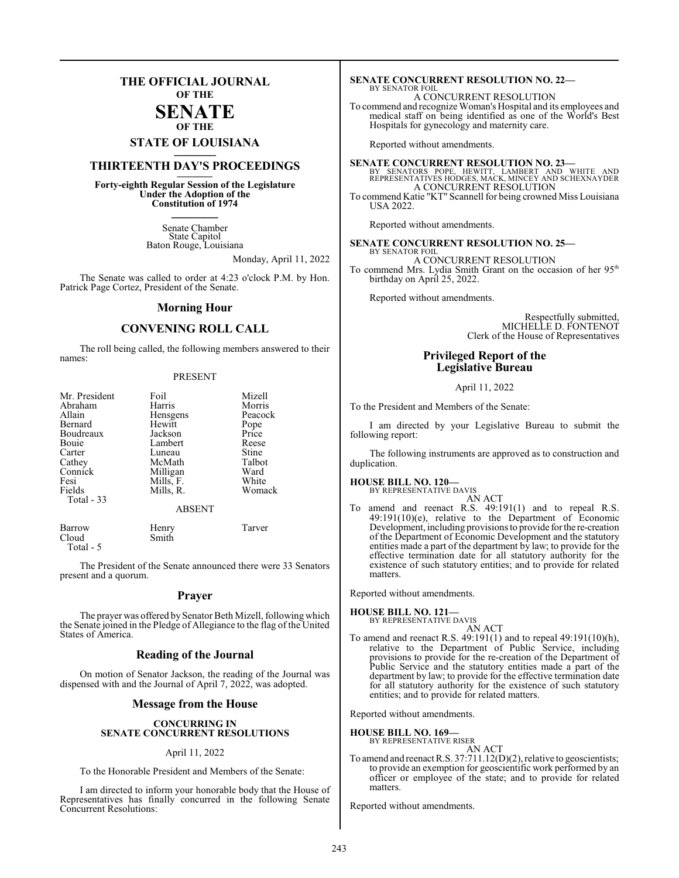## **THE OFFICIAL JOURNAL OF THE**

#### **SENATE OF THE**

# **STATE OF LOUISIANA \_\_\_\_\_\_\_**

## **THIRTEENTH DAY'S PROCEEDINGS \_\_\_\_\_\_\_**

**Forty-eighth Regular Session of the Legislature Under the Adoption of the Constitution of 1974 \_\_\_\_\_\_\_**

> Senate Chamber State Capitol Baton Rouge, Louisiana

> > Monday, April 11, 2022

The Senate was called to order at 4:23 o'clock P.M. by Hon. Patrick Page Cortez, President of the Senate.

#### **Morning Hour**

#### **CONVENING ROLL CALL**

The roll being called, the following members answered to their names:

#### PRESENT

| Mr. President | Foil          | Mizell  |
|---------------|---------------|---------|
| Abraham       | Harris        | Morris  |
| Allain        | Hensgens      | Peacock |
| Bernard       | Hewitt        | Pope    |
| Boudreaux     | Jackson       | Price   |
| Bouie         | Lambert       | Reese   |
| Carter        | Luneau        | Stine   |
| Cathey        | McMath        | Talbot  |
| Connick       | Milligan      | Ward    |
| Fesi          | Mills, F.     | White   |
| Fields        | Mills, R.     | Womack  |
| Total - 33    |               |         |
|               | <b>ABSENT</b> |         |

| Barrow    | Henry | Tarver |
|-----------|-------|--------|
| Cloud     | Smith |        |
| Total - 5 |       |        |

The President of the Senate announced there were 33 Senators present and a quorum.

#### **Prayer**

The prayer was offered by Senator Beth Mizell, following which the Senate joined in the Pledge of Allegiance to the flag of the United States of America.

#### **Reading of the Journal**

On motion of Senator Jackson, the reading of the Journal was dispensed with and the Journal of April 7, 2022, was adopted.

#### **Message from the House**

#### **CONCURRING IN SENATE CONCURRENT RESOLUTIONS**

#### April 11, 2022

To the Honorable President and Members of the Senate:

I am directed to inform your honorable body that the House of Representatives has finally concurred in the following Senate Concurrent Resolutions:

#### **SENATE CONCURRENT RESOLUTION NO. 22—** BY SENATOR FOIL

A CONCURRENT RESOLUTION

To commend and recognize Woman's Hospital and its employees and medical staff on being identified as one of the World's Best Hospitals for gynecology and maternity care.

Reported without amendments.

**SENATE CONCURRENT RESOLUTION NO. 23—**<br>BY SENATORS POPE, HEWITT, LAMBERT AND WHITE AND<br>REPRESENTATIVES HODGES, MACK, MINCEY AND SCHEXNAYDER A CONCURRENT RESOLUTION To commend Katie "KT" Scannell for being crowned Miss Louisiana USA 2022.

Reported without amendments.

#### **SENATE CONCURRENT RESOLUTION NO. 25—** BY SENATOR FOIL

A CONCURRENT RESOLUTION To commend Mrs. Lydia Smith Grant on the occasion of her 95<sup>th</sup> birthday on April 25, 2022.

Reported without amendments.

Respectfully submitted, MICHELLE D. FONTENOT Clerk of the House of Representatives

#### **Privileged Report of the Legislative Bureau**

#### April 11, 2022

To the President and Members of the Senate:

I am directed by your Legislative Bureau to submit the following report:

The following instruments are approved as to construction and duplication.

## **HOUSE BILL NO. 120—**

BY REPRESENTATIVE DAVIS

AN ACT To amend and reenact R.S. 49:191(1) and to repeal R.S. 49:191(10)(e), relative to the Department of Economic Development, including provisions to provide forthe re-creation of the Department of Economic Development and the statutory entities made a part of the department by law; to provide for the effective termination date for all statutory authority for the existence of such statutory entities; and to provide for related matters.

Reported without amendments.

#### **HOUSE BILL NO. 121—** BY REPRESENTATIVE DAVIS

- AN ACT
- To amend and reenact R.S. 49:191(1) and to repeal 49:191(10)(h), relative to the Department of Public Service, including provisions to provide for the re-creation of the Department of Public Service and the statutory entities made a part of the department by law; to provide for the effective termination date for all statutory authority for the existence of such statutory entities; and to provide for related matters.

Reported without amendments.

**HOUSE BILL NO. 169—** BY REPRESENTATIVE RISER

AN ACT

To amend and reenact R.S. 37:711.12(D)(2), relative to geoscientists; to provide an exemption for geoscientific work performed by an officer or employee of the state; and to provide for related matters.

Reported without amendments.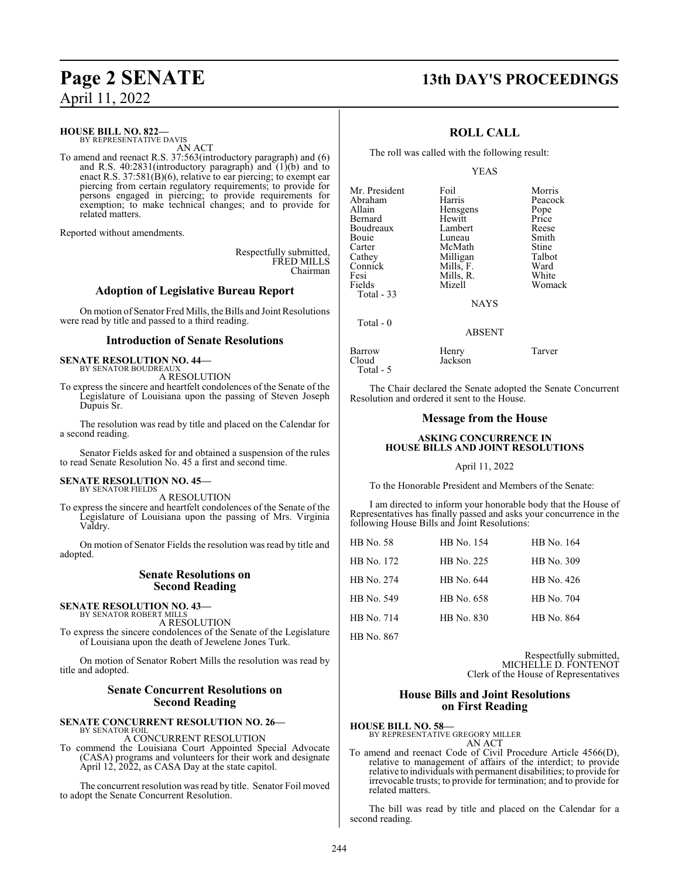#### **HOUSE BILL NO. 822—** BY REPRESENTATIVE DAVIS

AN ACT

To amend and reenact R.S. 37:563(introductory paragraph) and (6) and R.S.  $40:2831$ (introductory paragraph) and  $(1)(b)$  and to enact R.S. 37:581(B)(6), relative to ear piercing; to exempt ear piercing from certain regulatory requirements; to provide for persons engaged in piercing; to provide requirements for exemption; to make technical changes; and to provide for related matters.

Reported without amendments.

Respectfully submitted, FRED MILLS Chairman

### **Adoption of Legislative Bureau Report**

On motion of Senator Fred Mills, the Bills and Joint Resolutions were read by title and passed to a third reading.

#### **Introduction of Senate Resolutions**

#### **SENATE RESOLUTION NO. 44—** BY SENATOR BOUDREAUX

A RESOLUTION

To express the sincere and heartfelt condolences of the Senate of the Legislature of Louisiana upon the passing of Steven Joseph Dupuis Sr.

The resolution was read by title and placed on the Calendar for a second reading.

Senator Fields asked for and obtained a suspension of the rules to read Senate Resolution No. 45 a first and second time.

#### **SENATE RESOLUTION NO. 45—** BY SENATOR FIELDS

A RESOLUTION

To express the sincere and heartfelt condolences of the Senate of the Legislature of Louisiana upon the passing of Mrs. Virginia Valdry.

On motion of Senator Fields the resolution wasread by title and adopted.

#### **Senate Resolutions on Second Reading**

#### **SENATE RESOLUTION NO. 43—** BY SENATOR ROBERT MILLS

A RESOLUTION

To express the sincere condolences of the Senate of the Legislature of Louisiana upon the death of Jewelene Jones Turk.

On motion of Senator Robert Mills the resolution was read by title and adopted.

#### **Senate Concurrent Resolutions on Second Reading**

#### **SENATE CONCURRENT RESOLUTION NO. 26—** BY SENATOR FOIL

A CONCURRENT RESOLUTION

To commend the Louisiana Court Appointed Special Advocate (CASA) programs and volunteers for their work and designate April  $12, 2022$ , as CASA Day at the state capitol.

The concurrent resolution was read by title. Senator Foil moved to adopt the Senate Concurrent Resolution.

## **Page 2 SENATE 13th DAY'S PROCEEDINGS**

Womack

#### **ROLL CALL**

The roll was called with the following result:

#### YEAS

| Mr. President | Foil        | Morris  |
|---------------|-------------|---------|
| Abraham       | Harris      | Peacock |
| Allain        | Hensgens    | Pope    |
| Bernard       | Hewitt      | Price   |
| Boudreaux     | Lambert     | Reese   |
| Bouie         | Luneau      | Smith   |
| Carter        | McMath      | Stine   |
| Cathey        | Milligan    | Talbot  |
| Connick       | Mills, F.   | Ward    |
| Fesi          | Mills, R.   | White   |
| Fields        | Mizell      | Womack  |
| Total - 33    |             |         |
|               | <b>NAYS</b> |         |
| Total - 0     |             |         |

ABSENT

| Barrow    | Henry   | Tarver |
|-----------|---------|--------|
| Cloud     | Jackson |        |
| Total - 5 |         |        |

The Chair declared the Senate adopted the Senate Concurrent Resolution and ordered it sent to the House.

#### **Message from the House**

#### **ASKING CONCURRENCE IN HOUSE BILLS AND JOINT RESOLUTIONS**

#### April 11, 2022

To the Honorable President and Members of the Senate:

I am directed to inform your honorable body that the House of Representatives has finally passed and asks your concurrence in the following House Bills and Joint Resolutions:

| <b>HB</b> No. 58 | HB No. 154 | HB No. 164 |
|------------------|------------|------------|
| HB No. 172       | HB No. 225 | HB No. 309 |
| HB No. 274       | HB No. 644 | HB No. 426 |
| HB No. 549       | HB No. 658 | HB No. 704 |
| HB No. 714       | HB No. 830 | HB No. 864 |
|                  |            |            |

HB No. 867

Respectfully submitted, MICHELLE D. FONTENOT Clerk of the House of Representatives

#### **House Bills and Joint Resolutions on First Reading**

### **HOUSE BILL NO. 58—**

BY REPRESENTATIVE GREGORY MILLER AN ACT

To amend and reenact Code of Civil Procedure Article 4566(D), relative to management of affairs of the interdict; to provide relative to individuals with permanent disabilities; to provide for irrevocable trusts; to provide for termination; and to provide for related matters.

The bill was read by title and placed on the Calendar for a second reading.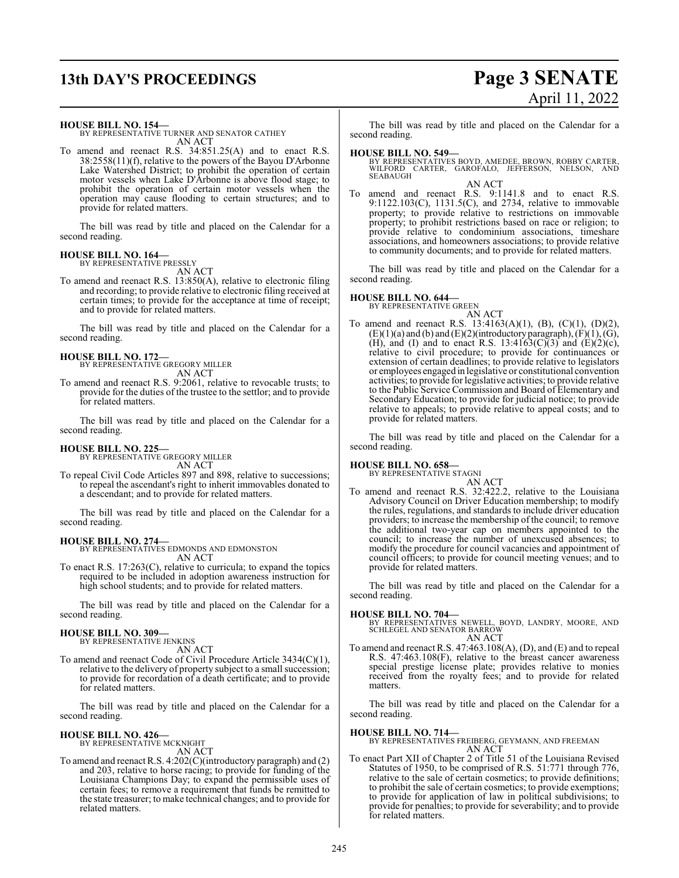## **13th DAY'S PROCEEDINGS Page 3 SENATE**

# April 11, 2022

**HOUSE BILL NO. 154—**

BY REPRESENTATIVE TURNER AND SENATOR CATHEY AN ACT

To amend and reenact R.S. 34:851.25(A) and to enact R.S. 38:2558(11)(f), relative to the powers of the Bayou D'Arbonne Lake Watershed District; to prohibit the operation of certain motor vessels when Lake D'Arbonne is above flood stage; to prohibit the operation of certain motor vessels when the operation may cause flooding to certain structures; and to provide for related matters.

The bill was read by title and placed on the Calendar for a second reading.

#### **HOUSE BILL NO. 164—** BY REPRESENTATIVE PRESSLY

AN ACT

To amend and reenact R.S. 13:850(A), relative to electronic filing and recording; to provide relative to electronic filing received at certain times; to provide for the acceptance at time of receipt; and to provide for related matters.

The bill was read by title and placed on the Calendar for a second reading.

## **HOUSE BILL NO. 172—**

BY REPRESENTATIVE GREGORY MILLER AN ACT

To amend and reenact R.S. 9:2061, relative to revocable trusts; to provide for the duties of the trustee to the settlor; and to provide for related matters.

The bill was read by title and placed on the Calendar for a second reading.

## **HOUSE BILL NO. 225—** BY REPRESENTATIVE GREGORY MILLER

AN ACT

To repeal Civil Code Articles 897 and 898, relative to successions; to repeal the ascendant's right to inherit immovables donated to a descendant; and to provide for related matters.

The bill was read by title and placed on the Calendar for a second reading.

#### **HOUSE BILL NO. 274—**

BY REPRESENTATIVES EDMONDS AND EDMONSTON AN ACT

To enact R.S. 17:263(C), relative to curricula; to expand the topics required to be included in adoption awareness instruction for high school students; and to provide for related matters.

The bill was read by title and placed on the Calendar for a second reading.

#### **HOUSE BILL NO. 309—**

BY REPRESENTATIVE JENKINS AN ACT

To amend and reenact Code of Civil Procedure Article 3434(C)(1), relative to the delivery of property subject to a small succession; to provide for recordation of a death certificate; and to provide for related matters.

The bill was read by title and placed on the Calendar for a second reading.

#### **HOUSE BILL NO. 426—**

BY REPRESENTATIVE MCKNIGHT AN ACT

To amend and reenact R.S. 4:202(C)(introductory paragraph) and (2) and 203, relative to horse racing; to provide for funding of the Louisiana Champions Day; to expand the permissible uses of certain fees; to remove a requirement that funds be remitted to the state treasurer; to make technical changes; and to provide for related matters.

The bill was read by title and placed on the Calendar for a second reading.

## **HOUSE BILL NO. 549—**

BY REPRESENTATIVES BOYD, AMEDEE, BROWN, ROBBY CARTER, WILFORD CARTER, GAROFALO, JEFFERSON, NELSON, AND **SEABAUGH** 

AN ACT To amend and reenact R.S. 9:1141.8 and to enact R.S. 9:1122.103(C), 1131.5(C), and 2734, relative to immovable property; to provide relative to restrictions on immovable property; to prohibit restrictions based on race or religion; to provide relative to condominium associations, timeshare associations, and homeowners associations; to provide relative to community documents; and to provide for related matters.

The bill was read by title and placed on the Calendar for a second reading.

**HOUSE BILL NO. 644—** BY REPRESENTATIVE GREEN

AN ACT To amend and reenact R.S. 13:4163(A)(1), (B), (C)(1), (D)(2),  $(E)(1)(a)$  and  $(b)$  and  $(E)(2)($ introductory paragraph $), (F)(1), (G),$ (H), and (I) and to enact R.S. 13:4163(C)(3) and (E)(2)(c), relative to civil procedure; to provide for continuances or extension of certain deadlines; to provide relative to legislators or employees engaged in legislative or constitutional convention activities; to provide for legislative activities; to provide relative to the Public Service Commission and Board of Elementary and Secondary Education; to provide for judicial notice; to provide relative to appeals; to provide relative to appeal costs; and to provide for related matters.

The bill was read by title and placed on the Calendar for a second reading.

#### **HOUSE BILL NO. 658—**

BY REPRESENTATIVE STAGNI

AN ACT To amend and reenact R.S. 32:422.2, relative to the Louisiana Advisory Council on Driver Education membership; to modify the rules, regulations, and standards to include driver education providers; to increase the membership of the council; to remove the additional two-year cap on members appointed to the council; to increase the number of unexcused absences; to modify the procedure for council vacancies and appointment of council officers; to provide for council meeting venues; and to provide for related matters.

The bill was read by title and placed on the Calendar for a second reading.

**HOUSE BILL NO. 704—** BY REPRESENTATIVES NEWELL, BOYD, LANDRY, MOORE, AND SCHLEGEL AND SENATOR BARROW AN ACT

To amend and reenact R.S. 47:463.108(A), (D), and (E) and to repeal R.S. 47:463.108(F), relative to the breast cancer awareness special prestige license plate; provides relative to monies received from the royalty fees; and to provide for related matters.

The bill was read by title and placed on the Calendar for a second reading.

**HOUSE BILL NO. 714—** BY REPRESENTATIVES FREIBERG, GEYMANN, AND FREEMAN AN ACT

To enact Part XII of Chapter 2 of Title 51 of the Louisiana Revised Statutes of 1950, to be comprised of R.S. 51:771 through 776, relative to the sale of certain cosmetics; to provide definitions; to prohibit the sale of certain cosmetics; to provide exemptions; to provide for application of law in political subdivisions; to provide for penalties; to provide for severability; and to provide for related matters.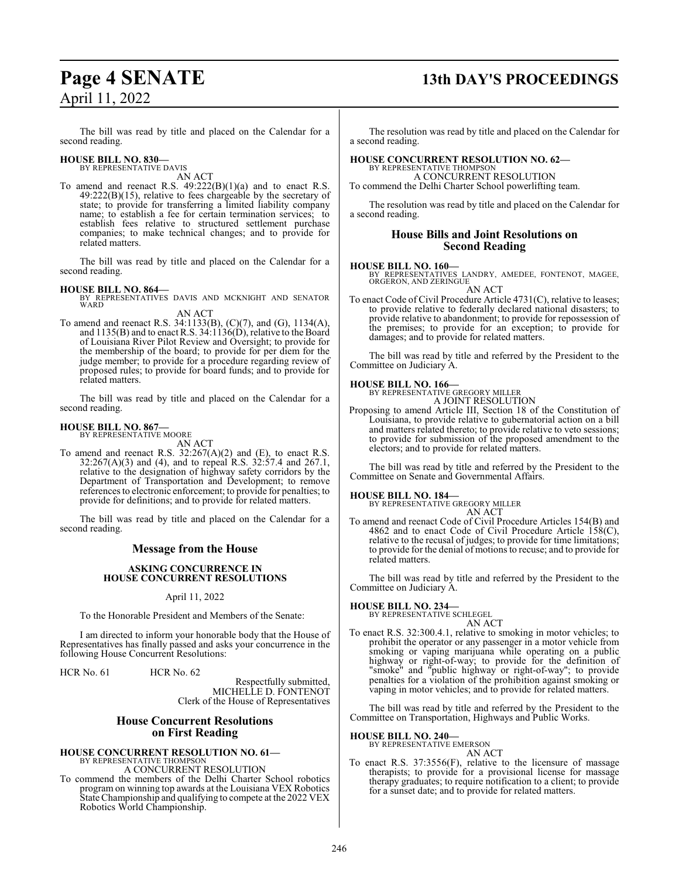## **Page 4 SENATE 13th DAY'S PROCEEDINGS**

The bill was read by title and placed on the Calendar for a second reading.

## **HOUSE BILL NO. 830—** BY REPRESENTATIVE DAVIS

AN ACT

To amend and reenact R.S. 49:222(B)(1)(a) and to enact R.S. 49:222(B)(15), relative to fees chargeable by the secretary of state; to provide for transferring a limited liability company name; to establish a fee for certain termination services; to establish fees relative to structured settlement purchase companies; to make technical changes; and to provide for related matters.

The bill was read by title and placed on the Calendar for a second reading.

**HOUSE BILL NO. 864—** BY REPRESENTATIVES DAVIS AND MCKNIGHT AND SENATOR WARD AN ACT

To amend and reenact R.S. 34:1133(B), (C)(7), and (G), 1134(A), and 1135(B) and to enact R.S. 34:1136(D), relative to the Board of Louisiana River Pilot Review and Oversight; to provide for the membership of the board; to provide for per diem for the judge member; to provide for a procedure regarding review of proposed rules; to provide for board funds; and to provide for related matters.

The bill was read by title and placed on the Calendar for a second reading.

#### **HOUSE BILL NO. 867—**

BY REPRESENTATIVE MOORE AN ACT

To amend and reenact R.S.  $32:267(A)(2)$  and (E), to enact R.S. 32:267(A)(3) and (4), and to repeal R.S. 32:57.4 and 267.1, relative to the designation of highway safety corridors by the Department of Transportation and Development; to remove references to electronic enforcement; to provide for penalties; to provide for definitions; and to provide for related matters.

The bill was read by title and placed on the Calendar for a second reading.

#### **Message from the House**

#### **ASKING CONCURRENCE IN HOUSE CONCURRENT RESOLUTIONS**

#### April 11, 2022

To the Honorable President and Members of the Senate:

I am directed to inform your honorable body that the House of Representatives has finally passed and asks your concurrence in the following House Concurrent Resolutions:

HCR No. 61 HCR No. 62

Respectfully submitted, MICHELLE D. FONTENOT Clerk of the House of Representatives

#### **House Concurrent Resolutions on First Reading**

### **HOUSE CONCURRENT RESOLUTION NO. 61—**

BY REPRESENTATIVE THOMPSON A CONCURRENT RESOLUTION

To commend the members of the Delhi Charter School robotics program on winning top awards at the Louisiana VEX Robotics State Championship and qualifying to compete at the 2022 VEX Robotics World Championship.

The resolution was read by title and placed on the Calendar for a second reading.

#### **HOUSE CONCURRENT RESOLUTION NO. 62—** BY REPRESENTATIVE THOMPSO A CONCURRENT RESOLUTION

To commend the Delhi Charter School powerlifting team.

The resolution was read by title and placed on the Calendar for a second reading.

#### **House Bills and Joint Resolutions on Second Reading**

#### **HOUSE BILL NO. 160—**

BY REPRESENTATIVES LANDRY, AMEDEE, FONTENOT, MAGEE, ORGERON, AND ZERINGUE AN ACT

To enact Code of Civil Procedure Article 4731(C), relative to leases; to provide relative to federally declared national disasters; to provide relative to abandonment; to provide for repossession of the premises; to provide for an exception; to provide for damages; and to provide for related matters.

The bill was read by title and referred by the President to the Committee on Judiciary A.

## **HOUSE BILL NO. 166—** BY REPRESENTATIVE GREGORY MILLER

A JOINT RESOLUTION

Proposing to amend Article III, Section 18 of the Constitution of Louisiana, to provide relative to gubernatorial action on a bill and matters related thereto; to provide relative to veto sessions; to provide for submission of the proposed amendment to the electors; and to provide for related matters.

The bill was read by title and referred by the President to the Committee on Senate and Governmental Affairs.

#### **HOUSE BILL NO. 184—**

BY REPRESENTATIVE GREGORY MILLER AN ACT

To amend and reenact Code of Civil Procedure Articles 154(B) and 4862 and to enact Code of Civil Procedure Article 158(C), relative to the recusal of judges; to provide for time limitations; to provide for the denial of motions to recuse; and to provide for related matters.

The bill was read by title and referred by the President to the Committee on Judiciary A.

#### **HOUSE BILL NO. 234—**

BY REPRESENTATIVE SCHLEGEL

- AN ACT
- To enact R.S. 32:300.4.1, relative to smoking in motor vehicles; to prohibit the operator or any passenger in a motor vehicle from smoking or vaping marijuana while operating on a public highway or right-of-way; to provide for the definition of "smoke" and "public highway or right-of-way"; to provide penalties for a violation of the prohibition against smoking or vaping in motor vehicles; and to provide for related matters.

The bill was read by title and referred by the President to the Committee on Transportation, Highways and Public Works.

#### **HOUSE BILL NO. 240—**

BY REPRESENTATIVE EMERSON

AN ACT

To enact R.S. 37:3556(F), relative to the licensure of massage therapists; to provide for a provisional license for massage therapy graduates; to require notification to a client; to provide for a sunset date; and to provide for related matters.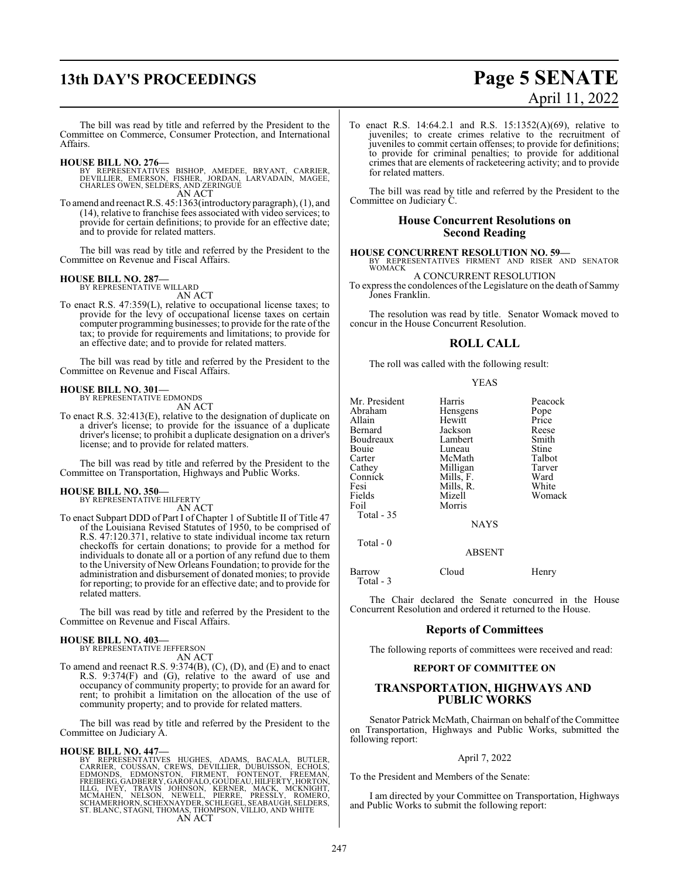# **13th DAY'S PROCEEDINGS Page 5 SENATE**

# April 11, 2022

The bill was read by title and referred by the President to the Committee on Commerce, Consumer Protection, and International Affairs.

#### **HOUSE BILL NO. 276—**

- BY REPRESENTATIVES BISHOP, AMEDEE, BRYANT, CARRIER,<br>DEVILLIER, EMERSON, FISHER, JORDAN, LARVADAIN, MAGEE,<br>CHARLES OWEN,SELDERS,AND ZERINGUE AN ACT
- To amend and reenact R.S. 45:1363(introductory paragraph), (1), and (14), relative to franchise fees associated with video services; to provide for certain definitions; to provide for an effective date; and to provide for related matters.

The bill was read by title and referred by the President to the Committee on Revenue and Fiscal Affairs.

#### **HOUSE BILL NO. 287—** BY REPRESENTATIVE WILLARD

AN ACT

To enact R.S. 47:359(L), relative to occupational license taxes; to provide for the levy of occupational license taxes on certain computer programming businesses; to provide for the rate of the tax; to provide for requirements and limitations; to provide for an effective date; and to provide for related matters.

The bill was read by title and referred by the President to the Committee on Revenue and Fiscal Affairs.

#### **HOUSE BILL NO. 301—**

BY REPRESENTATIVE EDMONDS AN ACT

To enact R.S. 32:413(E), relative to the designation of duplicate on a driver's license; to provide for the issuance of a duplicate driver's license; to prohibit a duplicate designation on a driver's license; and to provide for related matters.

The bill was read by title and referred by the President to the Committee on Transportation, Highways and Public Works.

#### **HOUSE BILL NO. 350—**

BY REPRESENTATIVE HILFERTY AN ACT

To enact Subpart DDD of Part I of Chapter 1 of Subtitle II of Title 47 of the Louisiana Revised Statutes of 1950, to be comprised of R.S. 47:120.371, relative to state individual income tax return checkoffs for certain donations; to provide for a method for individuals to donate all or a portion of any refund due to them to the University of New Orleans Foundation; to provide for the administration and disbursement of donated monies; to provide for reporting; to provide for an effective date; and to provide for related matters.

The bill was read by title and referred by the President to the Committee on Revenue and Fiscal Affairs.

#### **HOUSE BILL NO. 403—**

BY REPRESENTATIVE JEFFERSON AN ACT

To amend and reenact R.S. 9:374(B), (C), (D), and (E) and to enact R.S. 9:374(F) and (G), relative to the award of use and occupancy of community property; to provide for an award for rent; to prohibit a limitation on the allocation of the use of community property; and to provide for related matters.

The bill was read by title and referred by the President to the Committee on Judiciary A.

#### **HOUSE BILL NO. 447—**

BY REPRESENTATIVES HUGHES, ADAMS, BACALA, BUTLER, CARRIER, COUSSAN, CREWS, DEVILLIER, DUBUISSON, ECHOLS, EDNONDS, EDMONSTON, FIRMENT, FONTENOT, FREEMAN, ILLG. IVEY, TRANSFARE, THE HANG ILLG. IVEY, TRANSFARE, THE HANG ILLG.

To enact R.S. 14:64.2.1 and R.S. 15:1352(A)(69), relative to juveniles; to create crimes relative to the recruitment of juveniles to commit certain offenses; to provide for definitions; to provide for criminal penalties; to provide for additional crimes that are elements of racketeering activity; and to provide for related matters.

The bill was read by title and referred by the President to the Committee on Judiciary C.

#### **House Concurrent Resolutions on Second Reading**

**HOUSE CONCURRENT RESOLUTION NO. 59—** BY REPRESENTATIVES FIRMENT AND RISER AND SENATOR WOMACK

A CONCURRENT RESOLUTION

To express the condolences of the Legislature on the death of Sammy Jones Franklin.

The resolution was read by title. Senator Womack moved to concur in the House Concurrent Resolution.

#### **ROLL CALL**

The roll was called with the following result:

#### YEAS

| Mr. President                | Harris           | Peacock |
|------------------------------|------------------|---------|
| Abraham                      | Hensgens         | Pope    |
| Allain                       | Hewitt           | Price   |
| Bernard                      | Jackson          | Reese   |
| Boudreaux                    | Lambert          | Smith   |
| Bouie                        | Luneau           | Stine   |
| Carter                       | McMath           | Talbot  |
| Cathey                       | Milligan         | Tarver  |
| Connick                      | Mills, F.        | Ward    |
| Fesi                         | Mills, R.        | White   |
| Fields<br>Foil<br>Total - 35 | Mizell<br>Morris | Womack  |
|                              | <b>NAYS</b>      |         |

Total - 0

ABSENT

Barrow Cloud Henry

Total - 3

The Chair declared the Senate concurred in the House Concurrent Resolution and ordered it returned to the House.

#### **Reports of Committees**

The following reports of committees were received and read:

#### **REPORT OF COMMITTEE ON**

#### **TRANSPORTATION, HIGHWAYS AND PUBLIC WORKS**

Senator Patrick McMath, Chairman on behalf of the Committee on Transportation, Highways and Public Works, submitted the following report:

#### April 7, 2022

To the President and Members of the Senate:

I am directed by your Committee on Transportation, Highways and Public Works to submit the following report: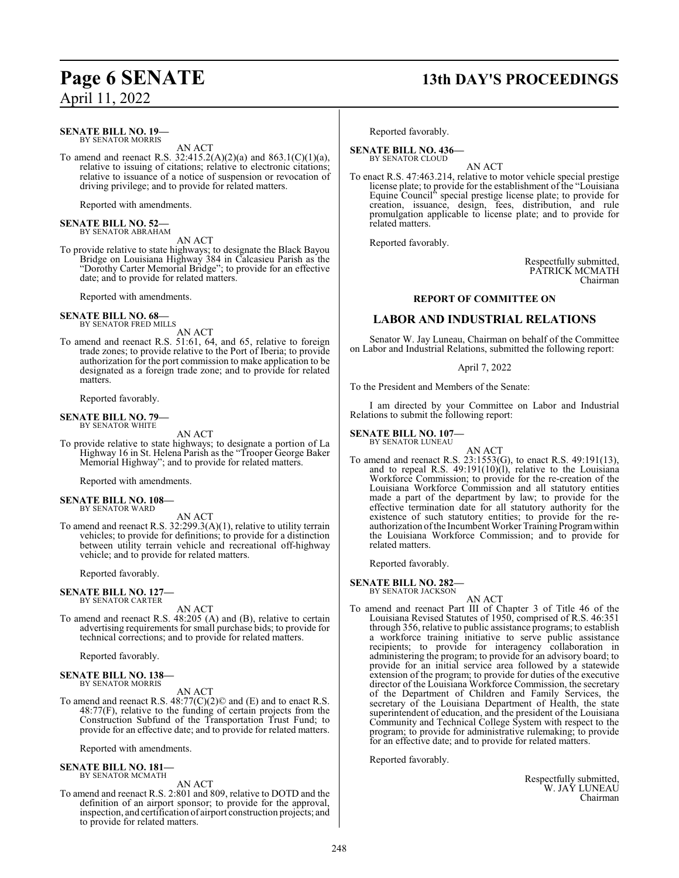## **Page 6 SENATE 13th DAY'S PROCEEDINGS**

**SENATE BILL NO. 19—** BY SENATOR MORRIS

AN ACT

To amend and reenact R.S.  $32:415.2(A)(2)(a)$  and  $863.1(C)(1)(a)$ , relative to issuing of citations; relative to electronic citations; relative to issuance of a notice of suspension or revocation of driving privilege; and to provide for related matters.

Reported with amendments.

## **SENATE BILL NO. 52—** BY SENATOR ABRAHAM

AN ACT

To provide relative to state highways; to designate the Black Bayou Bridge on Louisiana Highway 384 in Calcasieu Parish as the "Dorothy Carter Memorial Bridge"; to provide for an effective date; and to provide for related matters.

Reported with amendments.

#### **SENATE BILL NO. 68—** BY SENATOR FRED MILLS

AN ACT

To amend and reenact R.S. 51:61, 64, and 65, relative to foreign trade zones; to provide relative to the Port of Iberia; to provide authorization for the port commission to make application to be designated as a foreign trade zone; and to provide for related matters.

Reported favorably.

#### **SENATE BILL NO. 79—** BY SENATOR WHITE

AN ACT

To provide relative to state highways; to designate a portion of La Highway 16 in St. Helena Parish as the "Trooper George Baker Memorial Highway"; and to provide for related matters.

Reported with amendments.

#### **SENATE BILL NO. 108—** BY SENATOR WARD

AN ACT

To amend and reenact R.S. 32:299.3(A)(1), relative to utility terrain vehicles; to provide for definitions; to provide for a distinction between utility terrain vehicle and recreational off-highway vehicle; and to provide for related matters.

Reported favorably.

#### **SENATE BILL NO. 127—** BY SENATOR CARTER

AN ACT

To amend and reenact R.S. 48:205 (A) and (B), relative to certain advertising requirements for small purchase bids; to provide for technical corrections; and to provide for related matters.

Reported favorably.

#### **SENATE BILL NO. 138—** BY SENATOR MORRIS

AN ACT

To amend and reenact R.S. 48:77(C)(2)© and (E) and to enact R.S. 48:77(F), relative to the funding of certain projects from the Construction Subfund of the Transportation Trust Fund; to provide for an effective date; and to provide for related matters.

Reported with amendments.

## **SENATE BILL NO. 181—** BY SENATOR MCMATH

AN ACT

To amend and reenact R.S. 2:801 and 809, relative to DOTD and the definition of an airport sponsor; to provide for the approval, inspection, and certification of airport construction projects; and to provide for related matters.

Reported favorably.

**SENATE BILL NO. 436—** BY SENATOR CLOUD

AN ACT

To enact R.S. 47:463.214, relative to motor vehicle special prestige license plate; to provide for the establishment of the "Louisiana Equine Council" special prestige license plate; to provide for creation, issuance, design, fees, distribution, and rule promulgation applicable to license plate; and to provide for related matters.

Reported favorably.

Respectfully submitted, PATRICK MCMATH Chairman

#### **REPORT OF COMMITTEE ON**

### **LABOR AND INDUSTRIAL RELATIONS**

Senator W. Jay Luneau, Chairman on behalf of the Committee on Labor and Industrial Relations, submitted the following report:

April 7, 2022

To the President and Members of the Senate:

I am directed by your Committee on Labor and Industrial Relations to submit the following report:

## **SENATE BILL NO. 107—** BY SENATOR LUNEAU

AN ACT To amend and reenact R.S. 23:1553(G), to enact R.S. 49:191(13), and to repeal R.S. 49:191(10)(l), relative to the Louisiana Workforce Commission; to provide for the re-creation of the Louisiana Workforce Commission and all statutory entities made a part of the department by law; to provide for the effective termination date for all statutory authority for the existence of such statutory entities; to provide for the reauthorization ofthe Incumbent Worker Training Programwithin the Louisiana Workforce Commission; and to provide for related matters.

Reported favorably.

**SENATE BILL NO. 282—** BY SENATOR JACKSON

- AN ACT
- To amend and reenact Part III of Chapter 3 of Title 46 of the Louisiana Revised Statutes of 1950, comprised of R.S. 46:351 through 356, relative to public assistance programs; to establish a workforce training initiative to serve public assistance recipients; to provide for interagency collaboration in administering the program; to provide for an advisory board; to provide for an initial service area followed by a statewide extension of the program; to provide for duties of the executive director of the Louisiana Workforce Commission, the secretary of the Department of Children and Family Services, the secretary of the Louisiana Department of Health, the state superintendent of education, and the president of the Louisiana Community and Technical College System with respect to the program; to provide for administrative rulemaking; to provide for an effective date; and to provide for related matters.

Reported favorably.

Respectfully submitted, W. JAY LUNEAU Chairman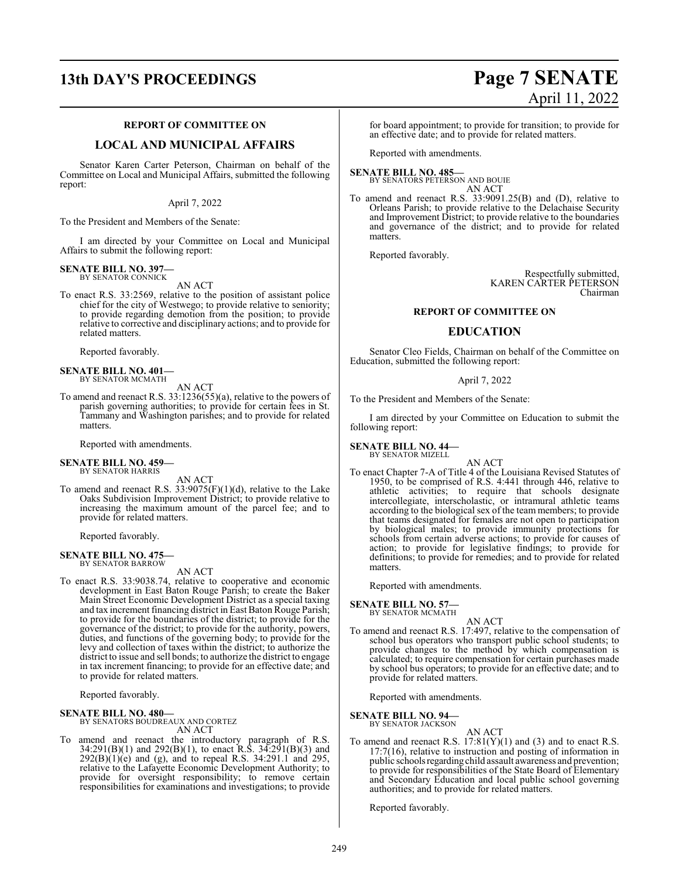# **13th DAY'S PROCEEDINGS Page 7 SENATE**

#### **REPORT OF COMMITTEE ON**

#### **LOCAL AND MUNICIPAL AFFAIRS**

Senator Karen Carter Peterson, Chairman on behalf of the Committee on Local and Municipal Affairs, submitted the following report:

#### April 7, 2022

To the President and Members of the Senate:

I am directed by your Committee on Local and Municipal Affairs to submit the following report:

#### **SENATE BILL NO. 397—** BY SENATOR CONNICK

AN ACT

To enact R.S. 33:2569, relative to the position of assistant police chief for the city of Westwego; to provide relative to seniority; to provide regarding demotion from the position; to provide relative to corrective and disciplinary actions; and to provide for related matters.

Reported favorably.

#### **SENATE BILL NO. 401—** BY SENATOR MCMATH

AN ACT

To amend and reenact R.S. 33:1236(55)(a), relative to the powers of parish governing authorities; to provide for certain fees in St. Tammany and Washington parishes; and to provide for related matters.

Reported with amendments.

## **SENATE BILL NO. 459—** BY SENATOR HARRIS

AN ACT

To amend and reenact R.S.  $33:9075(F)(1)(d)$ , relative to the Lake Oaks Subdivision Improvement District; to provide relative to increasing the maximum amount of the parcel fee; and to provide for related matters.

Reported favorably.

#### **SENATE BILL NO. 475—** BY SENATOR BARROW

AN ACT

To enact R.S. 33:9038.74, relative to cooperative and economic development in East Baton Rouge Parish; to create the Baker Main Street Economic Development District as a special taxing and tax increment financing district in East Baton Rouge Parish; to provide for the boundaries of the district; to provide for the governance of the district; to provide for the authority, powers, duties, and functions of the governing body; to provide for the levy and collection of taxes within the district; to authorize the district to issue and sell bonds; to authorize the district to engage in tax increment financing; to provide for an effective date; and to provide for related matters.

Reported favorably.

#### **SENATE BILL NO. 480—** BY SENATORS BOUDREAUX AND CORTEZ

AN ACT

To amend and reenact the introductory paragraph of R.S. 34:291(B)(1) and 292(B)(1), to enact R.S. 34:291(B)(3) and  $292(B)(1)(e)$  and (g), and to repeal R.S. 34:291.1 and 295, relative to the Lafayette Economic Development Authority; to provide for oversight responsibility; to remove certain responsibilities for examinations and investigations; to provide

for board appointment; to provide for transition; to provide for an effective date; and to provide for related matters.

Reported with amendments.

#### **SENATE BILL NO. 485—**

BY SENATORS PETERSON AND BOUIE AN ACT

To amend and reenact R.S. 33:9091.25(B) and (D), relative to Orleans Parish; to provide relative to the Delachaise Security and Improvement District; to provide relative to the boundaries and governance of the district; and to provide for related matters.

Reported favorably.

Respectfully submitted, KAREN CARTER PETERSON Chairman

#### **REPORT OF COMMITTEE ON**

#### **EDUCATION**

Senator Cleo Fields, Chairman on behalf of the Committee on Education, submitted the following report:

#### April 7, 2022

To the President and Members of the Senate:

I am directed by your Committee on Education to submit the following report:

#### **SENATE BILL NO. 44—** BY SENATOR MIZELL

AN ACT

To enact Chapter 7-A of Title 4 of the Louisiana Revised Statutes of 1950, to be comprised of R.S. 4:441 through 446, relative to athletic activities; to require that schools designate intercollegiate, interscholastic, or intramural athletic teams according to the biological sex of the team members; to provide that teams designated for females are not open to participation by biological males; to provide immunity protections for schools from certain adverse actions; to provide for causes of action; to provide for legislative findings; to provide for definitions; to provide for remedies; and to provide for related matters.

Reported with amendments.

**SENATE BILL NO. 57—**

BY SENATOR MCMATH AN ACT

To amend and reenact R.S. 17:497, relative to the compensation of school bus operators who transport public school students; to provide changes to the method by which compensation is calculated; to require compensation for certain purchases made by school bus operators; to provide for an effective date; and to provide for related matters.

Reported with amendments.

**SENATE BILL NO. 94—** BY SENATOR JACKSON

AN ACT

To amend and reenact R.S.  $17:81(Y)(1)$  and (3) and to enact R.S. 17:7(16), relative to instruction and posting of information in public schools regarding child assault awareness and prevention; to provide for responsibilities of the State Board of Elementary and Secondary Education and local public school governing authorities; and to provide for related matters.

Reported favorably.

# April 11, 2022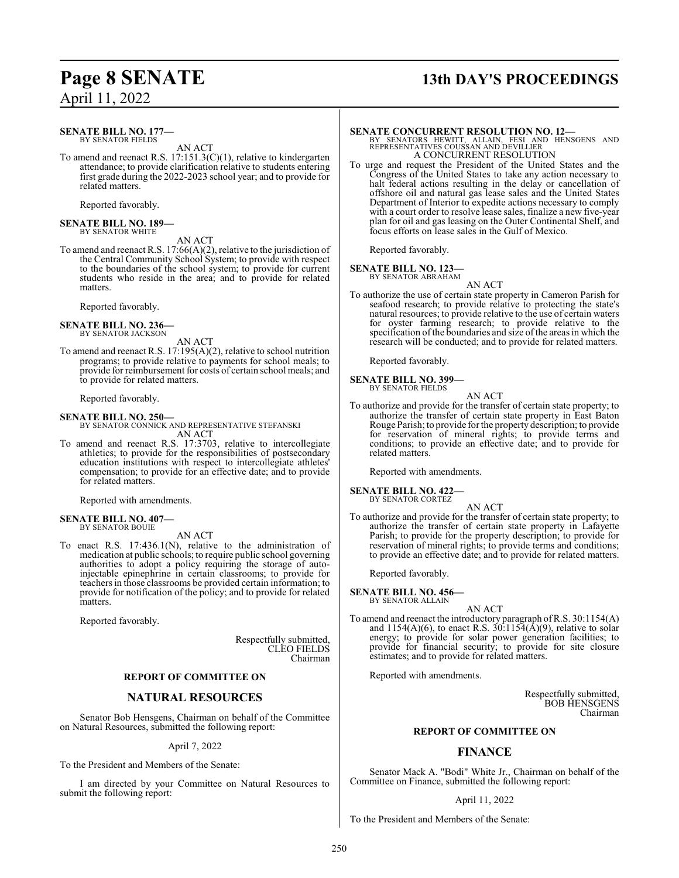## **Page 8 SENATE 13th DAY'S PROCEEDINGS**

#### **SENATE BILL NO. 177—** BY SENATOR FIELDS

AN ACT

To amend and reenact R.S. 17:151.3(C)(1), relative to kindergarten attendance; to provide clarification relative to students entering first grade during the 2022-2023 school year; and to provide for related matters.

Reported favorably.

## **SENATE BILL NO. 189—** BY SENATOR WHITE

AN ACT

To amend and reenact R.S. 17:66(A)(2), relative to the jurisdiction of the Central Community School System; to provide with respect to the boundaries of the school system; to provide for current students who reside in the area; and to provide for related matters.

Reported favorably.

#### **SENATE BILL NO. 236—** BY SENATOR JACKSON

AN ACT

To amend and reenact R.S. 17:195(A)(2), relative to school nutrition programs; to provide relative to payments for school meals; to provide for reimbursement for costs of certain school meals; and to provide for related matters.

Reported favorably.

#### **SENATE BILL NO. 250—**

BY SENATOR CONNICK AND REPRESENTATIVE STEFANSKI AN ACT

To amend and reenact R.S. 17:3703, relative to intercollegiate athletics; to provide for the responsibilities of postsecondary education institutions with respect to intercollegiate athletes' compensation; to provide for an effective date; and to provide for related matters.

Reported with amendments.

#### **SENATE BILL NO. 407—** BY SENATOR BOUIE

AN ACT

To enact R.S. 17:436.1(N), relative to the administration of medication at public schools; to require public school governing authorities to adopt a policy requiring the storage of autoinjectable epinephrine in certain classrooms; to provide for teachers in those classrooms be provided certain information; to provide for notification of the policy; and to provide for related matters.

Reported favorably.

Respectfully submitted, CLEO FIELDS Chairman

#### **REPORT OF COMMITTEE ON**

#### **NATURAL RESOURCES**

Senator Bob Hensgens, Chairman on behalf of the Committee on Natural Resources, submitted the following report:

#### April 7, 2022

To the President and Members of the Senate:

I am directed by your Committee on Natural Resources to submit the following report:

**SENATE CONCURRENT RESOLUTION NO. 12—**<br>BY SENATORS HEWITT, ALLAIN, FESI AND HENSGENS AND REPRESENTATIVES COUSSAN AND DEVILLIER A CONCURRENT RESOLUTION

To urge and request the President of the United States and the Congress of the United States to take any action necessary to halt federal actions resulting in the delay or cancellation of offshore oil and natural gas lease sales and the United States Department of Interior to expedite actions necessary to comply with a court order to resolve lease sales, finalize a new five-year plan for oil and gas leasing on the Outer Continental Shelf, and focus efforts on lease sales in the Gulf of Mexico.

Reported favorably.

#### **SENATE BILL NO. 123—**

BY SENATOR ABRAHAM

AN ACT To authorize the use of certain state property in Cameron Parish for seafood research; to provide relative to protecting the state's natural resources; to provide relative to the use of certain waters for oyster farming research; to provide relative to the specification of the boundaries and size of the areas in which the research will be conducted; and to provide for related matters.

Reported favorably.

#### **SENATE BILL NO. 399—** BY SENATOR FIELDS

AN ACT To authorize and provide for the transfer of certain state property; to authorize the transfer of certain state property in East Baton Rouge Parish; to provide for the property description; to provide for reservation of mineral rights; to provide terms and conditions; to provide an effective date; and to provide for related matters.

Reported with amendments.

#### **SENATE BILL NO. 422—** BY SENATOR CORTEZ

AN ACT

To authorize and provide for the transfer of certain state property; to authorize the transfer of certain state property in Lafayette Parish; to provide for the property description; to provide for reservation of mineral rights; to provide terms and conditions; to provide an effective date; and to provide for related matters.

Reported favorably.

**SENATE BILL NO. 456—**

BY SENATOR ALLAIN AN ACT

To amend and reenact the introductory paragraph ofR.S. 30:1154(A) and  $1154(A)(6)$ , to enact R.S.  $30:115\overline{4(A)}(9)$ , relative to solar energy; to provide for solar power generation facilities; to provide for financial security; to provide for site closure estimates; and to provide for related matters.

Reported with amendments.

Respectfully submitted, BOB HENSGENS Chairman

#### **REPORT OF COMMITTEE ON**

#### **FINANCE**

Senator Mack A. "Bodi" White Jr., Chairman on behalf of the Committee on Finance, submitted the following report:

#### April 11, 2022

To the President and Members of the Senate: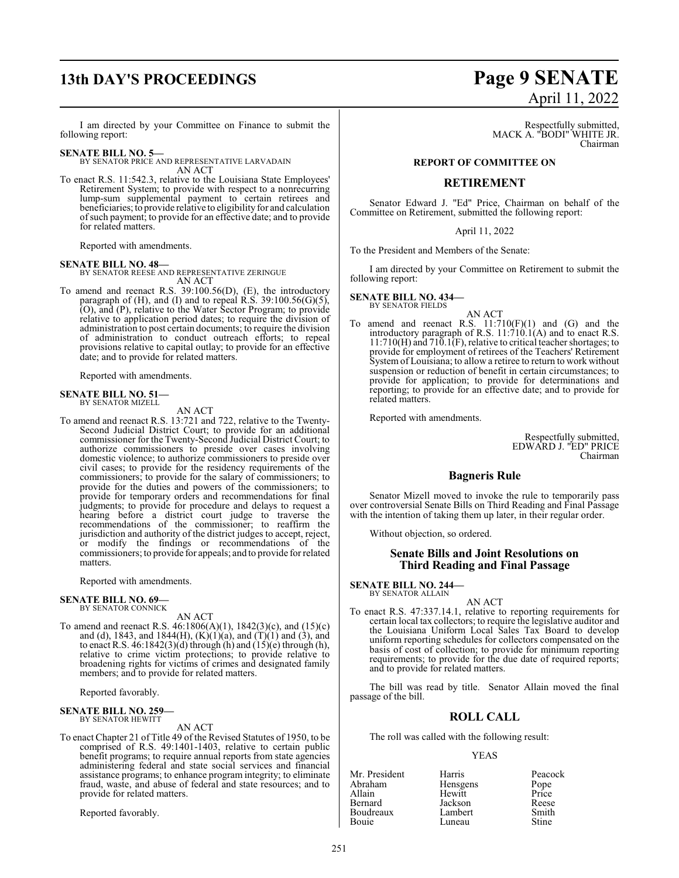## **13th DAY'S PROCEEDINGS Page 9 SENATE**

I am directed by your Committee on Finance to submit the following report:

#### **SENATE BILL NO. 5—**

BY SENATOR PRICE AND REPRESENTATIVE LARVADAIN AN ACT

To enact R.S. 11:542.3, relative to the Louisiana State Employees' Retirement System; to provide with respect to a nonrecurring lump-sum supplemental payment to certain retirees and beneficiaries; to provide relative to eligibility for and calculation ofsuch payment; to provide for an effective date; and to provide for related matters.

Reported with amendments.

**SENATE BILL NO. 48—** BY SENATOR REESE AND REPRESENTATIVE ZERINGUE AN ACT

To amend and reenact R.S. 39:100.56(D), (E), the introductory paragraph of  $(H)$ , and  $(I)$  and to repeal R.S. 39:100.56 $(G)(5)$ , (O), and (P), relative to the Water Sector Program; to provide relative to application period dates; to require the division of administration to post certain documents; to require the division of administration to conduct outreach efforts; to repeal provisions relative to capital outlay; to provide for an effective date; and to provide for related matters.

Reported with amendments.

#### **SENATE BILL NO. 51—**

BY SENATOR MIZELL

AN ACT

To amend and reenact R.S. 13:721 and 722, relative to the Twenty-Second Judicial District Court; to provide for an additional commissioner for the Twenty-Second Judicial District Court; to authorize commissioners to preside over cases involving domestic violence; to authorize commissioners to preside over civil cases; to provide for the residency requirements of the commissioners; to provide for the salary of commissioners; to provide for the duties and powers of the commissioners; to provide for temporary orders and recommendations for final judgments; to provide for procedure and delays to request a hearing before a district court judge to traverse the recommendations of the commissioner; to reaffirm the jurisdiction and authority of the district judges to accept, reject, or modify the findings or recommendations of the commissioners; to provide for appeals; and to provide for related matters.

Reported with amendments.

#### **SENATE BILL NO. 69—** BY SENATOR CONNICK

AN ACT To amend and reenact R.S. 46:1806(A)(1), 1842(3)(c), and (15)(c) and (d), 1843, and 1844(H),  $(K)(1)(a)$ , and  $(T)(1)$  and  $(3)$ , and to enact R.S.  $46:1842(3)(d)$  through (h) and  $(15)(e)$  through (h), relative to crime victim protections; to provide relative to broadening rights for victims of crimes and designated family members; and to provide for related matters.

Reported favorably.

#### **SENATE BILL NO. 259—** BY SENATOR HEWITT

AN ACT

To enact Chapter 21 of Title 49 of the Revised Statutes of 1950, to be comprised of R.S. 49:1401-1403, relative to certain public benefit programs; to require annual reports from state agencies administering federal and state social services and financial assistance programs; to enhance program integrity; to eliminate fraud, waste, and abuse of federal and state resources; and to provide for related matters.

Reported favorably.

# April 11, 2022

Respectfully submitted, MACK A. "BODI" WHITE JR. Chairman

#### **REPORT OF COMMITTEE ON**

#### **RETIREMENT**

Senator Edward J. "Ed" Price, Chairman on behalf of the Committee on Retirement, submitted the following report:

#### April 11, 2022

To the President and Members of the Senate:

I am directed by your Committee on Retirement to submit the following report:

**SENATE BILL NO. 434—** BY SENATOR FIELDS

AN ACT

To amend and reenact R.S.  $11:710(F)(1)$  and  $(G)$  and the introductory paragraph of R.S. 11:710.1(A) and to enact R.S.  $11:710(H)$  and  $710.1(F)$ , relative to critical teacher shortages; to provide for employment of retirees of the Teachers' Retirement System of Louisiana; to allow a retiree to return to work without suspension or reduction of benefit in certain circumstances; to provide for application; to provide for determinations and reporting; to provide for an effective date; and to provide for related matters.

Reported with amendments.

Respectfully submitted, EDWARD J. "ED" PRICE Chairman

### **Bagneris Rule**

Senator Mizell moved to invoke the rule to temporarily pass over controversial Senate Bills on Third Reading and Final Passage with the intention of taking them up later, in their regular order.

Without objection, so ordered.

#### **Senate Bills and Joint Resolutions on Third Reading and Final Passage**

**SENATE BILL NO. 244—** BY SENATOR ALLAIN

AN ACT

To enact R.S. 47:337.14.1, relative to reporting requirements for certain local tax collectors; to require the legislative auditor and the Louisiana Uniform Local Sales Tax Board to develop uniform reporting schedules for collectors compensated on the basis of cost of collection; to provide for minimum reporting requirements; to provide for the due date of required reports; and to provide for related matters.

The bill was read by title. Senator Allain moved the final passage of the bill.

#### **ROLL CALL**

The roll was called with the following result:

#### YEAS

| Mr. President | Harris   | Peacock       |
|---------------|----------|---------------|
| Abraham       | Hensgens | Pope<br>Price |
| Allain        | Hewitt   |               |
| Bernard       | Jackson  | Reese         |
| Boudreaux     | Lambert  | Smith         |
| Bouie         | Luneau   | Stine         |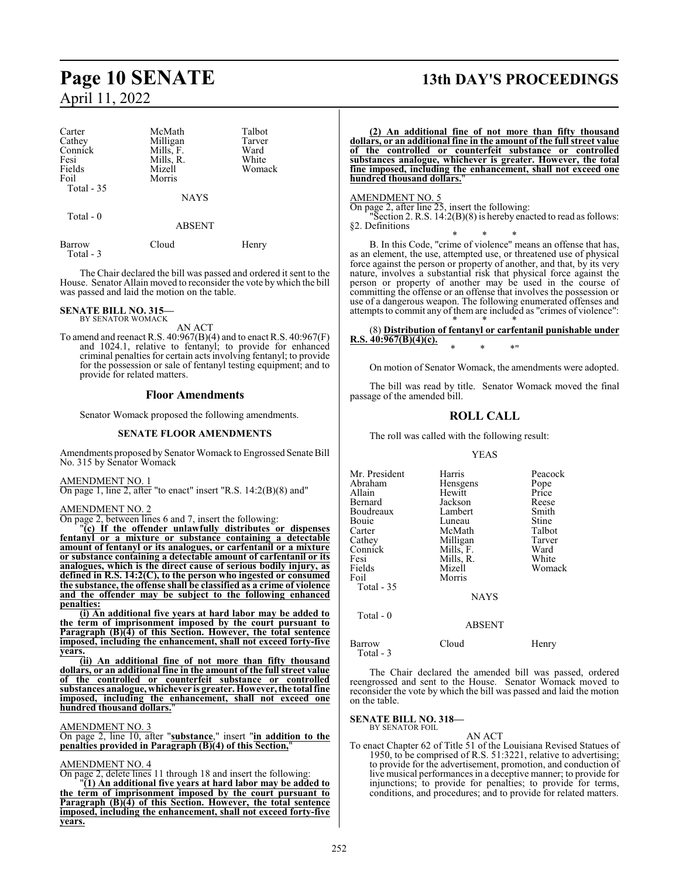| Carter     | McMath      | Talbot |
|------------|-------------|--------|
| Cathey     | Milligan    | Tarver |
| Connick    | Mills, F.   | Ward   |
| Fesi       | Mills, R.   | White  |
| Fields     | Mizell      | Womack |
| Foil       | Morris      |        |
| Total - 35 |             |        |
|            | <b>NAYS</b> |        |
| Total $-0$ |             |        |
|            | ABSENT      |        |
|            |             |        |

Barrow Cloud Henry Total - 3

The Chair declared the bill was passed and ordered it sent to the House. Senator Allain moved to reconsider the vote by which the bill was passed and laid the motion on the table.

**SENATE BILL NO. 315—** BY SENATOR WOMACK

AN ACT

To amend and reenact R.S.  $40:967(B)(4)$  and to enact R.S.  $40:967(F)$ and 1024.1, relative to fentanyl; to provide for enhanced criminal penalties for certain acts involving fentanyl; to provide for the possession or sale of fentanyl testing equipment; and to provide for related matters.

#### **Floor Amendments**

Senator Womack proposed the following amendments.

#### **SENATE FLOOR AMENDMENTS**

Amendments proposed by Senator Womack to Engrossed Senate Bill No. 315 by Senator Womack

AMENDMENT NO. 1

On page 1, line 2, after "to enact" insert "R.S. 14:2(B)(8) and"

AMENDMENT NO. 2

On page 2, between lines 6 and 7, insert the following:

"**(c) If the offender unlawfully distributes or dispenses fentanyl or a mixture or substance containing a detectable amount of fentanyl or its analogues, or carfentanil or a mixture or substance containing a detectable amount of carfentanil or its analogues, which is the direct cause of serious bodily injury, as defined in R.S. 14:2(C), to the person who ingested or consumed the substance, the offense shall be classified as a crime of violence and the offender may be subject to the following enhanced penalties:**

**(i) An additional five years at hard labor may be added to the term of imprisonment imposed by the court pursuant to Paragraph (B)(4) of this Section. However, the total sentence imposed, including the enhancement, shall not exceed forty-five years.**

**(ii) An additional fine of not more than fifty thousand dollars, or an additional fine in the amount of the full street value of the controlled or counterfeit substance or controlled substances analogue, whichever is greater. However, the total fine imposed, including the enhancement, shall not exceed one hundred thousand dollars.**"

#### AMENDMENT NO. 3

On page 2, line 10, after "**substance**," insert "**in addition to the penalties provided in Paragraph (B)(4) of this Section,**"

#### AMENDMENT NO. 4

On page 2, delete lines 11 through 18 and insert the following: "**(1) An additional five years at hard labor may be added to the term of imprisonment imposed by the court pursuant to Paragraph (B)(4) of this Section. However, the total sentence imposed, including the enhancement, shall not exceed forty-five years.**

## **Page 10 SENATE 13th DAY'S PROCEEDINGS**

**(2) An additional fine of not more than fifty thousand dollars, or an additional fine in the amount of the full street value of the controlled or counterfeit substance or controlled substances analogue, whichever is greater. However, the total fine imposed, including the enhancement, shall not exceed one hundred thousand dollars.**"

#### AMENDMENT NO. 5

On page 2, after line 25, insert the following:

"Section 2. R.S. 14:2(B)(8) is hereby enacted to read as follows: §2. Definitions

\* \* \* B. In this Code, "crime of violence" means an offense that has, as an element, the use, attempted use, or threatened use of physical force against the person or property of another, and that, by its very nature, involves a substantial risk that physical force against the person or property of another may be used in the course of committing the offense or an offense that involves the possession or use of a dangerous weapon. The following enumerated offenses and attempts to commit any of them are included as "crimes of violence": \* \* \*

#### (8) **Distribution of fentanyl or carfentanil punishable under R.S. 40:967(B)(4)(c).** \* \* \*"

On motion of Senator Womack, the amendments were adopted.

The bill was read by title. Senator Womack moved the final passage of the amended bill.

#### **ROLL CALL**

The roll was called with the following result:

#### YEAS

| Mr. President | Harris        | Peacock       |
|---------------|---------------|---------------|
| Abraham       | Hensgens      | Pope<br>Price |
| Allain        | Hewitt        |               |
| Bernard       | Jackson       | Reese         |
| Boudreaux     | Lambert       | Smith         |
| Bouie         | Luneau        | Stine         |
| Carter        | McMath        | Talbot        |
| Cathey        | Milligan      | Tarver        |
| Connick       | Mills, F.     | Ward          |
| Fesi          | Mills, R.     | White         |
| Fields        | Mizell        | Womack        |
| Foil          | Morris        |               |
| Total - 35    |               |               |
|               | <b>NAYS</b>   |               |
| Total - 0     | <b>ABSENT</b> |               |
|               |               |               |

Barrow Cloud Henry Total - 3

The Chair declared the amended bill was passed, ordered reengrossed and sent to the House. Senator Womack moved to reconsider the vote by which the bill was passed and laid the motion on the table.

**SENATE BILL NO. 318—** BY SENATOR FOIL

#### AN ACT

To enact Chapter 62 of Title 51 of the Louisiana Revised Statues of 1950, to be comprised of R.S. 51:3221, relative to advertising; to provide for the advertisement, promotion, and conduction of live musical performances in a deceptive manner; to provide for injunctions; to provide for penalties; to provide for terms, conditions, and procedures; and to provide for related matters.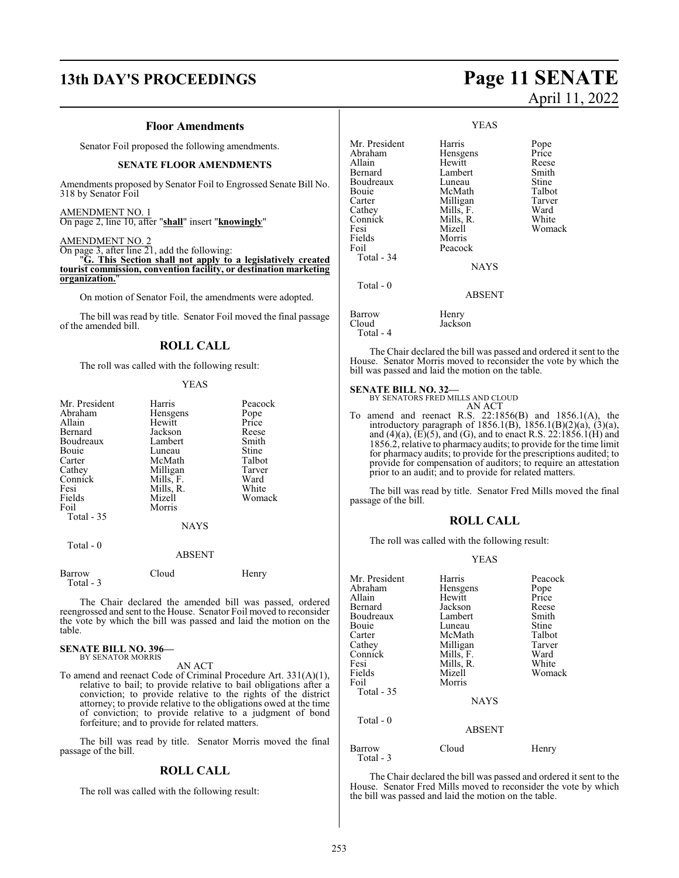## **13th DAY'S PROCEEDINGS Page 11 SENATE**

#### **Floor Amendments**

Senator Foil proposed the following amendments.

#### **SENATE FLOOR AMENDMENTS**

Amendments proposed by Senator Foil to Engrossed Senate Bill No. 318 by Senator Foil

#### AMENDMENT NO. 1

On page 2, line 10, after "**shall**" insert "**knowingly**"

#### AMENDMENT NO. 2

On page 3, after line 21, add the following:

"**G. This Section shall not apply to a legislatively created tourist commission, convention facility, or destination marketing organization.**"

On motion of Senator Foil, the amendments were adopted.

The bill was read by title. Senator Foil moved the final passage of the amended bill.

#### **ROLL CALL**

The roll was called with the following result:

#### YEAS

| Mr. President | Harris      | Peacock |
|---------------|-------------|---------|
| Abraham       | Hensgens    | Pope    |
| Allain        | Hewitt      | Price   |
| Bernard       | Jackson     | Reese   |
| Boudreaux     | Lambert     | Smith   |
| Bouie         | Luneau      | Stine   |
| Carter        | McMath      | Talbot  |
| Cathey        | Milligan    | Tarver  |
| Connick       | Mills, F.   | Ward    |
| Fesi          | Mills, R.   | White   |
| Fields        | Mizell      | Womack  |
| Foil          | Morris      |         |
| Total - 35    |             |         |
|               | <b>NAYS</b> |         |
| Total - 0     |             |         |
|               | ABSENT      |         |

| Barrow    | Cloud | Henry |
|-----------|-------|-------|
| Total - 3 |       |       |

The Chair declared the amended bill was passed, ordered reengrossed and sent to the House. Senator Foil moved to reconsider the vote by which the bill was passed and laid the motion on the table.

#### **SENATE BILL NO. 396—** BY SENATOR MORRIS

#### AN ACT

To amend and reenact Code of Criminal Procedure Art. 331(A)(1), relative to bail; to provide relative to bail obligations after a conviction; to provide relative to the rights of the district attorney; to provide relative to the obligations owed at the time of conviction; to provide relative to a judgment of bond forfeiture; and to provide for related matters.

The bill was read by title. Senator Morris moved the final passage of the bill.

#### **ROLL CALL**

The roll was called with the following result:

# April 11, 2022

YEAS Mr. President Harris Pope<br>Abraham Hensgens Price Abraham Hensgens Price<br>Allain Hewitt Reese Allain Hewitt Reese Lambert Smith<br>
Luneau Stine Boudreaux Luneau Stine<br>
Bouie McMath Talbot Bouie McMath Talbot<br>Carter Milligan Tarver Carter Milligan Tarver<br>Cathey Mills, F. Ward Cathey Mills, F. Ward<br>Connick Mills, R. White Connick Mills, R.<br>Fesi Mizell Fesi Mizell Womack Fields Morris<br>Foil Peacoc Peacock Total - 34 **NAYS**  Total - 0 ABSENT Barrow Henry<br>Cloud Jackso Jackson Total - 4

The Chair declared the bill was passed and ordered it sent to the House. Senator Morris moved to reconsider the vote by which the bill was passed and laid the motion on the table.

#### **SENATE BILL NO. 32—**

BY SENATORS FRED MILLS AND CLOUD

AN ACT To amend and reenact R.S. 22:1856(B) and 1856.1(A), the introductory paragraph of 1856.1(B), 1856.1(B)(2)(a), (3)(a), and  $(4)(a)$ ,  $(E)(5)$ , and  $(G)$ , and to enact R.S. 22:1856.1(H) and 1856.2, relative to pharmacy audits; to provide for the time limit for pharmacy audits; to provide for the prescriptions audited; to provide for compensation of auditors; to require an attestation prior to an audit; and to provide for related matters.

The bill was read by title. Senator Fred Mills moved the final passage of the bill.

#### **ROLL CALL**

The roll was called with the following result:

#### YEAS

| Mr. President<br>Abraham | Harris<br>Hensgens | Peacock<br>Pope |
|--------------------------|--------------------|-----------------|
| Allain                   | Hewitt             | Price           |
| Bernard                  | Jackson            | Reese           |
| Boudreaux                | Lambert            | Smith           |
| Bouie                    | Luneau             | Stine           |
| Carter                   | McMath             | Talbot          |
| Cathey                   | Milligan           | Tarver          |
| Connick                  | Mills, F.          | Ward            |
| Fesi                     | Mills, R.          | White           |
| Fields                   | Mizell             | Womack          |
| Foil                     | Morris             |                 |
| Total $-35$              |                    |                 |
|                          | <b>NAYS</b>        |                 |
| Total - 0                |                    |                 |
|                          | <b>ABSENT</b>      |                 |
| Barrow<br>Total - 3      | Cloud              | Henry           |

The Chair declared the bill was passed and ordered it sent to the House. Senator Fred Mills moved to reconsider the vote by which the bill was passed and laid the motion on the table.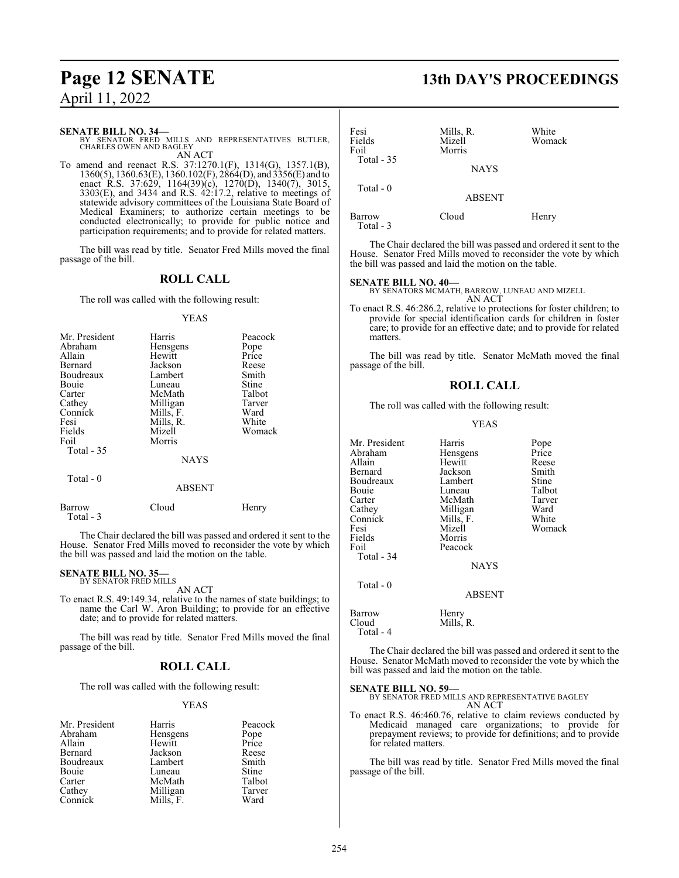**SENATE BILL NO. 34—**<br>BY SENATOR FRED MILLS AND REPRESENTATIVES BUTLER,<br>CHARLES OWEN AND BAGLEY AN ACT

To amend and reenact R.S. 37:1270.1(F), 1314(G), 1357.1(B), 1360(5), 1360.63(E), 1360.102(F), 2864(D), and 3356(E) and to enact R.S. 37:629, 1164(39)(c), 1270(D), 1340(7), 3015, 3303(E), and 3434 and R.S. 42:17.2, relative to meetings of statewide advisory committees of the Louisiana State Board of Medical Examiners; to authorize certain meetings to be conducted electronically; to provide for public notice and participation requirements; and to provide for related matters.

The bill was read by title. Senator Fred Mills moved the final passage of the bill.

### **ROLL CALL**

The roll was called with the following result:

#### YEAS

| Mr. President | Harris      | Peacock |
|---------------|-------------|---------|
| Abraham       | Hensgens    | Pope    |
| Allain        | Hewitt      | Price   |
| Bernard       | Jackson     | Reese   |
| Boudreaux     | Lambert     | Smith   |
| Bouie         | Luneau      | Stine   |
| Carter        | McMath      | Talbot  |
| Cathey        | Milligan    | Tarver  |
| Connick       | Mills, F.   | Ward    |
| Fesi          | Mills, R.   | White   |
| Fields        | Mizell      | Womack  |
| Foil          | Morris      |         |
| Total $-35$   |             |         |
|               | <b>NAYS</b> |         |
| Total - 0     |             |         |
|               | ABSENT      |         |

Barrow Cloud Henry

The Chair declared the bill was passed and ordered it sent to the House. Senator Fred Mills moved to reconsider the vote by which the bill was passed and laid the motion on the table.

#### **SENATE BILL NO. 35—** BY SENATOR FRED MILLS

Total - 3

AN ACT

To enact R.S. 49:149.34, relative to the names of state buildings; to name the Carl W. Aron Building; to provide for an effective date; and to provide for related matters.

The bill was read by title. Senator Fred Mills moved the final passage of the bill.

#### **ROLL CALL**

The roll was called with the following result:

#### YEAS

| Mr. President | Harris    | Peacock       |
|---------------|-----------|---------------|
| Abraham       | Hensgens  | Pope<br>Price |
| Allain        | Hewitt    |               |
| Bernard       | Jackson   | Reese         |
| Boudreaux     | Lambert   | Smith         |
| Bouie         | Luneau    | <b>Stine</b>  |
| Carter        | McMath    | Talbot        |
| Cathey        | Milligan  | Tarver        |
| Connick       | Mills, F. | Ward          |

## **Page 12 SENATE 13th DAY'S PROCEEDINGS**

| Fesi<br>Fields<br>Foil | Mills, R.<br>Mizell<br>Morris | White<br>Womack |
|------------------------|-------------------------------|-----------------|
| Total - 35             | <b>NAYS</b>                   |                 |
| Total $-0$             | <b>ABSENT</b>                 |                 |
| Barrow<br>Total - 3    | Cloud                         | Henry           |

The Chair declared the bill was passed and ordered it sent to the House. Senator Fred Mills moved to reconsider the vote by which the bill was passed and laid the motion on the table.

#### **SENATE BILL NO. 40—**

BY SENATORS MCMATH, BARROW, LUNEAU AND MIZELL AN ACT

To enact R.S. 46:286.2, relative to protections for foster children; to provide for special identification cards for children in foster care; to provide for an effective date; and to provide for related matters.

The bill was read by title. Senator McMath moved the final passage of the bill.

#### **ROLL CALL**

The roll was called with the following result:

#### YEAS

| Mr. President<br>Abraham<br>Allain<br>Bernard<br>Boudreaux<br>Bouie<br>Carter<br>Cathey<br>Connick<br>Fesi<br>Fields<br>Foil<br>Total - 34<br>Total - 0 | Harris<br>Hensgens<br>Hewitt<br>Jackson<br>Lambert<br>Luneau<br>McMath<br>Milligan<br>Mills, F.<br>Mizell<br>Morris<br>Peacock<br><b>NAYS</b> | Pope<br>Price<br>Reese<br>Smith<br>Stine<br>Talbot<br>Tarver<br>Ward<br>White<br>Womack |
|---------------------------------------------------------------------------------------------------------------------------------------------------------|-----------------------------------------------------------------------------------------------------------------------------------------------|-----------------------------------------------------------------------------------------|
|                                                                                                                                                         | <b>ABSENT</b>                                                                                                                                 |                                                                                         |
| Barrow<br>Cloud<br>Total - 4                                                                                                                            | Henry<br>Mills, R.                                                                                                                            |                                                                                         |

The Chair declared the bill was passed and ordered it sent to the House. Senator McMath moved to reconsider the vote by which the bill was passed and laid the motion on the table.

#### **SENATE BILL NO. 59—**

BY SENATOR FRED MILLS AND REPRESENTATIVE BAGLEY AN ACT

To enact R.S. 46:460.76, relative to claim reviews conducted by Medicaid managed care organizations; to provide for prepayment reviews; to provide for definitions; and to provide for related matters.

The bill was read by title. Senator Fred Mills moved the final passage of the bill.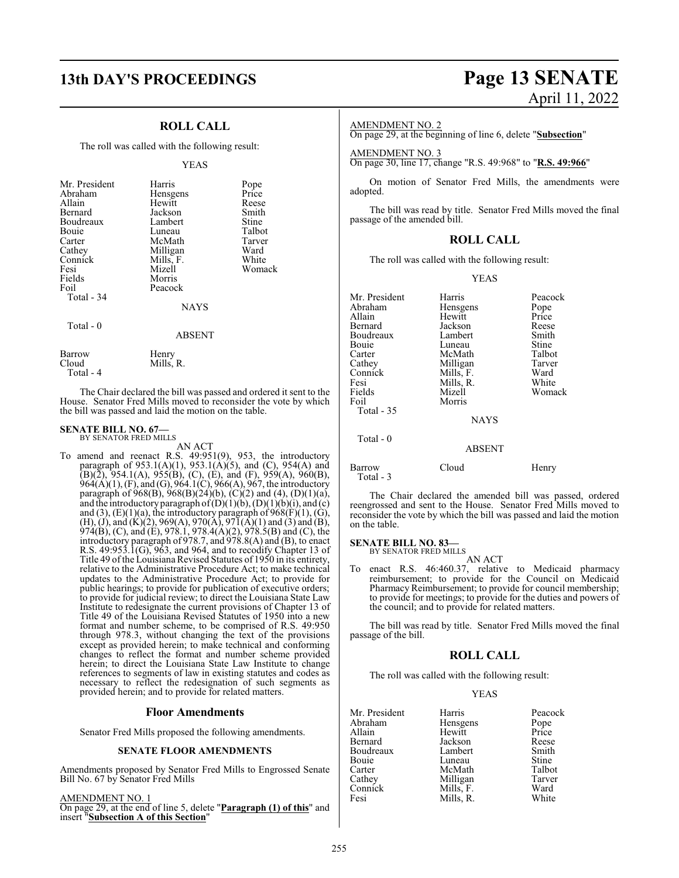## **13th DAY'S PROCEEDINGS Page 13 SENATE**

### **ROLL CALL**

The roll was called with the following result:

#### YEAS

| Mr. President<br>Abraham<br>Allain<br>Bernard<br>Boudreaux<br>Bouie<br>Carter<br>Cathey<br>Connick<br>Fesi<br>Fields<br>Foil<br>Total - 34<br>Total - 0 | Harris<br>Hensgens<br>Hewitt<br>Jackson<br>Lambert<br>Luneau<br>McMath<br>Milligan<br>Mills, F.<br>Mizell<br>Morris<br>Peacock<br><b>NAYS</b> | Pope<br>Price<br>Reese<br>Smith<br>Stine<br>Talbot<br>Tarver<br>Ward<br>White<br>Womack |
|---------------------------------------------------------------------------------------------------------------------------------------------------------|-----------------------------------------------------------------------------------------------------------------------------------------------|-----------------------------------------------------------------------------------------|
|                                                                                                                                                         | <b>ABSENT</b>                                                                                                                                 |                                                                                         |
| Barrow<br>Cloud                                                                                                                                         | Henry<br>Mills. R                                                                                                                             |                                                                                         |

The Chair declared the bill was passed and ordered it sent to the House. Senator Fred Mills moved to reconsider the vote by which the bill was passed and laid the motion on the table.

#### **SENATE BILL NO. 67—** BY SENATOR FRED MILLS

Total - 4

AN ACT

To amend and reenact R.S. 49:951(9), 953, the introductory paragraph of  $953.1(A)(1)$ ,  $953.1(A)(5)$ , and (C),  $954(A)$  and  $(B)(\overline{2})$ , 954.1(A), 955(B), (C), (E), and (F), 959(A), 960(B), 964(A)(1), (F), and (G), 964.1(C), 966(A), 967, the introductory paragraph of 968(B), 968(B)(24)(b), (C)(2) and (4), (D)(1)(a), and the introductory paragraph of  $(D)(1)(b)$ ,  $(D)(1)(b)(i)$ , and  $(c)$ and (3),  $(E)(1)(a)$ , the introductory paragraph of  $968(F)(1)$ ,  $(G)$ , (H), (J), and (K)(2), 969(A), 970(A), 97 $\overline{1}(A)(1)$  and (3) and (B), 974(B), (C), and (E), 978.1, 978.4(A)(2), 978.5(B) and (C), the introductory paragraph of 978.7, and 978.8(A) and (B), to enact R.S.  $49:953.1$ (G),  $963$ , and  $964$ , and to recodify Chapter 13 of Title 49 of the Louisiana Revised Statutes of 1950 in its entirety, relative to the Administrative Procedure Act; to make technical updates to the Administrative Procedure Act; to provide for public hearings; to provide for publication of executive orders; to provide for judicial review; to direct the Louisiana State Law Institute to redesignate the current provisions of Chapter 13 of Title 49 of the Louisiana Revised Statutes of 1950 into a new format and number scheme, to be comprised of R.S. 49:950 through 978.3, without changing the text of the provisions except as provided herein; to make technical and conforming changes to reflect the format and number scheme provided herein; to direct the Louisiana State Law Institute to change references to segments of law in existing statutes and codes as necessary to reflect the redesignation of such segments as provided herein; and to provide for related matters.

#### **Floor Amendments**

Senator Fred Mills proposed the following amendments.

#### **SENATE FLOOR AMENDMENTS**

Amendments proposed by Senator Fred Mills to Engrossed Senate Bill No. 67 by Senator Fred Mills

#### AMENDMENT NO. 1

On page 29, at the end of line 5, delete "**Paragraph (1) of this**" and insert "**Subsection A of this Section**"

# April 11, 2022

#### AMENDMENT NO. 2

On page 29, at the beginning of line 6, delete "**Subsection**"

AMENDMENT NO. 3 On page 30, line 17, change "R.S. 49:968" to "**R.S. 49:966**"

On motion of Senator Fred Mills, the amendments were adopted.

The bill was read by title. Senator Fred Mills moved the final passage of the amended bill.

#### **ROLL CALL**

The roll was called with the following result:

#### YEAS

| Mr. President<br>Abraham<br>Allain<br>Bernard<br>Boudreaux<br>Bouie<br>Carter<br>Cathey<br>Connick<br>Fesi<br>Fields<br>Foil<br>Total $-35$ | Harris<br>Hensgens<br>Hewitt<br>Jackson<br>Lambert<br>Luneau<br>McMath<br>Milligan<br>Mills, F.<br>Mills, R.<br>Mizell<br>Morris | Peacock<br>Pope<br>Price<br>Reese<br>Smith<br>Stine<br>Talbot<br>Tarver<br>Ward<br>White<br>Womack |
|---------------------------------------------------------------------------------------------------------------------------------------------|----------------------------------------------------------------------------------------------------------------------------------|----------------------------------------------------------------------------------------------------|
|                                                                                                                                             | <b>NAYS</b>                                                                                                                      |                                                                                                    |
| Total - 0                                                                                                                                   | <b>ABSENT</b>                                                                                                                    |                                                                                                    |
| Barrow<br>Total - 3                                                                                                                         | Cloud                                                                                                                            | Henry                                                                                              |

The Chair declared the amended bill was passed, ordered reengrossed and sent to the House. Senator Fred Mills moved to reconsider the vote by which the bill was passed and laid the motion on the table.

## **SENATE BILL NO. 83—** BY SENATOR FRED MILLS

AN ACT

To enact R.S. 46:460.37, relative to Medicaid pharmacy reimbursement; to provide for the Council on Medicaid Pharmacy Reimbursement; to provide for council membership; to provide for meetings; to provide for the duties and powers of the council; and to provide for related matters.

The bill was read by title. Senator Fred Mills moved the final passage of the bill.

#### **ROLL CALL**

The roll was called with the following result:

#### YEAS

| Mr. President | Harris    | Peacock      |
|---------------|-----------|--------------|
| Abraham       | Hensgens  | Pope         |
| Allain        | Hewitt    | Price        |
| Bernard       | Jackson   | Reese        |
| Boudreaux     | Lambert   | Smith        |
| Bouie         | Luneau    | <b>Stine</b> |
| Carter        | McMath    | Talbot       |
| Cathey        | Milligan  | Tarver       |
| Connick       | Mills, F. | Ward         |
| Fesi          | Mills, R. | White        |
|               |           |              |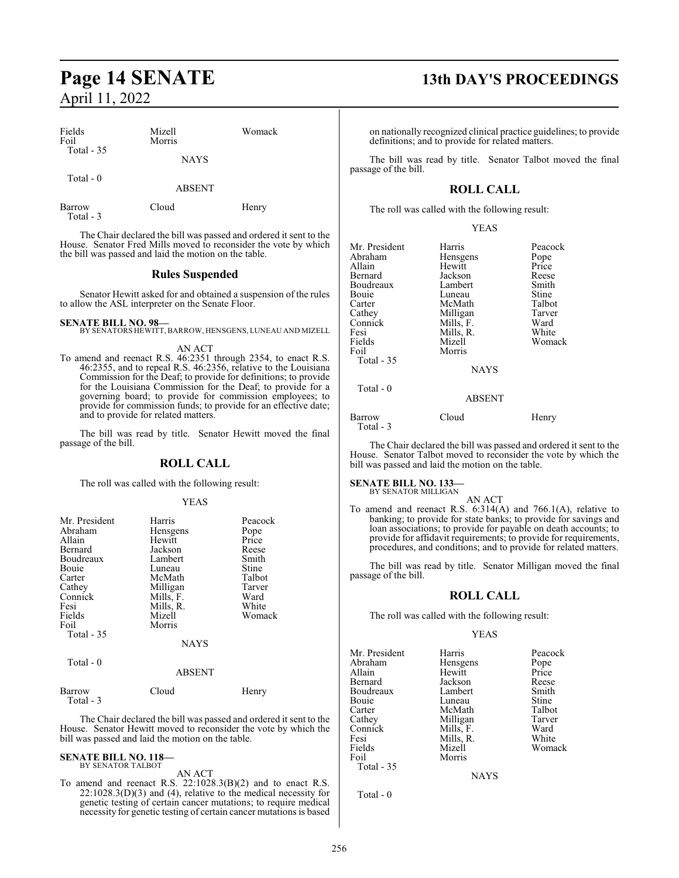| Fields<br>Foil      | Mizell<br>Morris | Womack |
|---------------------|------------------|--------|
| Total - 35          | <b>NAYS</b>      |        |
| Total - 0           | <b>ABSENT</b>    |        |
| Barrow<br>Total - 3 | Cloud            | Henry  |

The Chair declared the bill was passed and ordered it sent to the House. Senator Fred Mills moved to reconsider the vote by which the bill was passed and laid the motion on the table.

#### **Rules Suspended**

Senator Hewitt asked for and obtained a suspension of the rules to allow the ASL interpreter on the Senate Floor.

**SENATE BILL NO. 98—** BY SENATORS HEWITT, BARROW, HENSGENS, LUNEAU AND MIZELL

AN ACT

To amend and reenact R.S. 46:2351 through 2354, to enact R.S. 46:2355, and to repeal R.S. 46:2356, relative to the Louisiana Commission for the Deaf; to provide for definitions; to provide for the Louisiana Commission for the Deaf; to provide for a governing board; to provide for commission employees; to provide for commission funds; to provide for an effective date; and to provide for related matters.

The bill was read by title. Senator Hewitt moved the final passage of the bill.

#### **ROLL CALL**

The roll was called with the following result:

#### YEAS

| Mr. President<br>Abraham<br>Allain<br>Bernard<br>Boudreaux<br><b>Bouje</b><br>Carter<br>Cathey<br>Connick<br>Fesi<br>Fields<br>Foil<br>Total $-35$ | Harris<br><b>Hensgens</b><br>Hewitt<br>Jackson<br>Lambert<br>Luneau<br>McMath<br>Milligan<br>Mills, F.<br>Mills, R.<br>Mizell<br>Morris<br><b>NAYS</b> | Peacock<br>Pope<br>Price<br>Reese<br>Smith<br>Stine<br>Talbot<br>Tarver<br>Ward<br>White<br>Womack |
|----------------------------------------------------------------------------------------------------------------------------------------------------|--------------------------------------------------------------------------------------------------------------------------------------------------------|----------------------------------------------------------------------------------------------------|
| Total - 0                                                                                                                                          | <b>ABSENT</b>                                                                                                                                          |                                                                                                    |

Barrow Cloud Henry Total - 3

The Chair declared the bill was passed and ordered it sent to the House. Senator Hewitt moved to reconsider the vote by which the bill was passed and laid the motion on the table.

#### **SENATE BILL NO. 118—** BY SENATOR TALBOT

#### AN ACT

To amend and reenact R.S. 22:1028.3(B)(2) and to enact R.S.  $22:1028.3(D)(3)$  and (4), relative to the medical necessity for genetic testing of certain cancer mutations; to require medical necessity for genetic testing of certain cancer mutations is based

## **Page 14 SENATE 13th DAY'S PROCEEDINGS**

on nationally recognized clinical practice guidelines; to provide definitions; and to provide for related matters.

The bill was read by title. Senator Talbot moved the final passage of the bill.

### **ROLL CALL**

The roll was called with the following result:

#### YEAS

| Mr. President<br>Abraham<br>Allain<br><b>Bernard</b><br>Boudreaux<br>Bouie<br>Carter<br>Cathey<br>Connick<br>Fesi<br>Fields<br>Foil<br>Total $-35$ | Harris<br>Hensgens<br>Hewitt<br>Jackson<br>Lambert<br>Luneau<br>McMath<br>Milligan<br>Mills, F.<br>Mills, R.<br>Mizell<br>Morris<br><b>NAYS</b> | Peacock<br>Pope<br>Price<br>Reese<br>Smith<br>Stine<br>Talbot<br>Tarver<br>Ward<br>White<br>Womack |
|----------------------------------------------------------------------------------------------------------------------------------------------------|-------------------------------------------------------------------------------------------------------------------------------------------------|----------------------------------------------------------------------------------------------------|
| $Total - 0$                                                                                                                                        | <b>ABSENT</b>                                                                                                                                   |                                                                                                    |

Barrow Cloud Henry Total - 3

The Chair declared the bill was passed and ordered it sent to the House. Senator Talbot moved to reconsider the vote by which the bill was passed and laid the motion on the table.

#### **SENATE BILL NO. 133—** BY SENATOR MILLIGAN

AN ACT

To amend and reenact R.S. 6:314(A) and 766.1(A), relative to banking; to provide for state banks; to provide for savings and loan associations; to provide for payable on death accounts; to provide for affidavit requirements; to provide for requirements, procedures, and conditions; and to provide for related matters.

The bill was read by title. Senator Milligan moved the final passage of the bill.

#### **ROLL CALL**

The roll was called with the following result:

#### YEAS

| Mr. President | Harris    | Peacock      |
|---------------|-----------|--------------|
| Abraham       | Hensgens  | Pope         |
| Allain        | Hewitt    | Price        |
| Bernard       | Jackson   | Reese        |
| Boudreaux     | Lambert   | Smith        |
| Bouie         | Luneau    | <b>Stine</b> |
| Carter        | McMath    | Talbot       |
| Cathey        | Milligan  | Tarver       |
| Connick       | Mills, F. | Ward         |
| Fesi          | Mills, R. | White        |
| Fields        | Mizell    | Womack       |
| Foil          | Morris    |              |
| Total - 35    |           |              |
|               |           |              |

**NAYS** 

Total - 0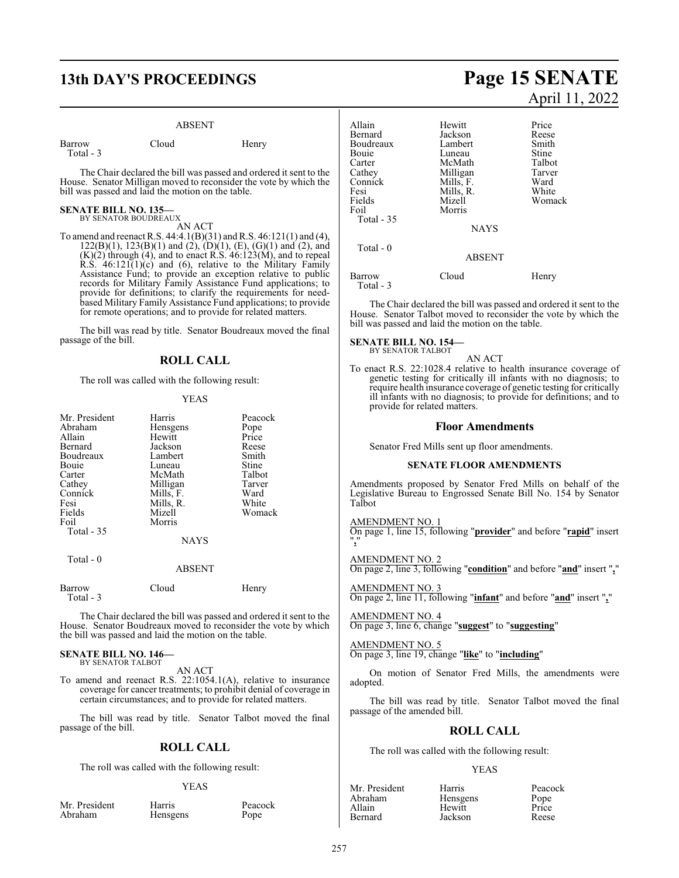## **13th DAY'S PROCEEDINGS Page 15 SENATE**

#### ABSENT

| Barrow    | Cloud | Henry |
|-----------|-------|-------|
| Total - 3 |       |       |

The Chair declared the bill was passed and ordered it sent to the House. Senator Milligan moved to reconsider the vote by which the bill was passed and laid the motion on the table.

#### **SENATE BILL NO. 135—** BY SENATOR BOUDREAUX

AN ACT

To amend and reenact R.S. 44:4.1(B)(31) and R.S. 46:121(1) and (4),  $122(B)(1)$ ,  $123(B)(1)$  and  $(2)$ ,  $(D)(1)$ ,  $(E)$ ,  $(G)(1)$  and  $(2)$ , and  $(K)(2)$  through  $(4)$ , and to enact R.S.  $46:123(M)$ , and to repeal R.S.  $46:121(1)(c)$  and  $(6)$ , relative to the Military Family Assistance Fund; to provide an exception relative to public records for Military Family Assistance Fund applications; to provide for definitions; to clarify the requirements for needbased Military Family Assistance Fund applications; to provide for remote operations; and to provide for related matters.

The bill was read by title. Senator Boudreaux moved the final passage of the bill.

### **ROLL CALL**

The roll was called with the following result:

#### YEAS

| Mr. President | Harris        | Peacock |
|---------------|---------------|---------|
| Abraham       | Hensgens      | Pope    |
| Allain        | Hewitt        | Price   |
| Bernard       | Jackson       | Reese   |
| Boudreaux     | Lambert       | Smith   |
| Bouie         | Luneau        | Stine   |
| Carter        | McMath        | Talbot  |
| Cathey        | Milligan      | Tarver  |
| Connick       | Mills, F.     | Ward    |
| Fesi          | Mills, R.     | White   |
| Fields        | Mizell        | Womack  |
| Foil          | Morris        |         |
| Total - 35    |               |         |
|               | <b>NAYS</b>   |         |
| Total - 0     |               |         |
|               | <b>ABSENT</b> |         |

| Barrow     | Cloud |  |
|------------|-------|--|
| Total $-3$ |       |  |

The Chair declared the bill was passed and ordered it sent to the House. Senator Boudreaux moved to reconsider the vote by which the bill was passed and laid the motion on the table.

Henry

#### **SENATE BILL NO. 146—** BY SENATOR TALBOT

AN ACT

To amend and reenact R.S. 22:1054.1(A), relative to insurance coverage for cancer treatments; to prohibit denial of coverage in certain circumstances; and to provide for related matters.

The bill was read by title. Senator Talbot moved the final passage of the bill.

#### **ROLL CALL**

The roll was called with the following result:

#### YEAS

Mr. President Harris Peacock<br>Abraham Hensgens Pope Hensgens

# April 11, 2022

| Allain<br>Bernard<br>Boudreaux<br>Bouie<br>Carter<br>Cathey<br>Connick<br>Fesi<br>Fields<br>Foil | Hewitt<br>Jackson<br>Lambert<br>Luneau<br>McMath<br>Milligan<br>Mills, F.<br>Mills, R.<br>Mizell<br>Morris | Price<br>Reese<br>Smith<br>Stine<br>Talbot<br>Tarver<br>Ward<br>White<br>Womack |
|--------------------------------------------------------------------------------------------------|------------------------------------------------------------------------------------------------------------|---------------------------------------------------------------------------------|
| <b>Total - 35</b>                                                                                | <b>NAYS</b>                                                                                                |                                                                                 |
| Total $-0$                                                                                       | <b>ABSENT</b>                                                                                              |                                                                                 |
| Barrow<br>Total - 3                                                                              | Cloud                                                                                                      | Henry                                                                           |

The Chair declared the bill was passed and ordered it sent to the House. Senator Talbot moved to reconsider the vote by which the bill was passed and laid the motion on the table.

#### **SENATE BILL NO. 154—** BY SENATOR TALBOT

AN ACT To enact R.S. 22:1028.4 relative to health insurance coverage of genetic testing for critically ill infants with no diagnosis; to require health insurance coverage of genetic testing for critically ill infants with no diagnosis; to provide for definitions; and to provide for related matters.

#### **Floor Amendments**

Senator Fred Mills sent up floor amendments.

#### **SENATE FLOOR AMENDMENTS**

Amendments proposed by Senator Fred Mills on behalf of the Legislative Bureau to Engrossed Senate Bill No. 154 by Senator Talbot

#### AMENDMENT NO. 1

On page 1, line 15, following "**provider**" and before "**rapid**" insert "**,**"

AMENDMENT NO. 2 On page 2, line 3, following "**condition**" and before "**and**" insert "**,**"

AMENDMENT NO. 3 On page 2, line 11, following "**infant**" and before "**and**" insert "**,**"

AMENDMENT NO. 4 On page 3, line 6, change "**suggest**" to "**suggesting**"

AMENDMENT NO. 5 On page 3, line 19, change "**like**" to "**including**"

On motion of Senator Fred Mills, the amendments were adopted.

The bill was read by title. Senator Talbot moved the final passage of the amended bill.

#### **ROLL CALL**

The roll was called with the following result:

#### YEAS

| Mr. Presider |
|--------------|
| Abraham      |
| Allain       |
| Bernard      |
|              |

nt Harris Peacock<br>Hensgens Pope Hensgens Pope<br>
Hewitt Price Hewitt Price<br>Jackson Reese Jackson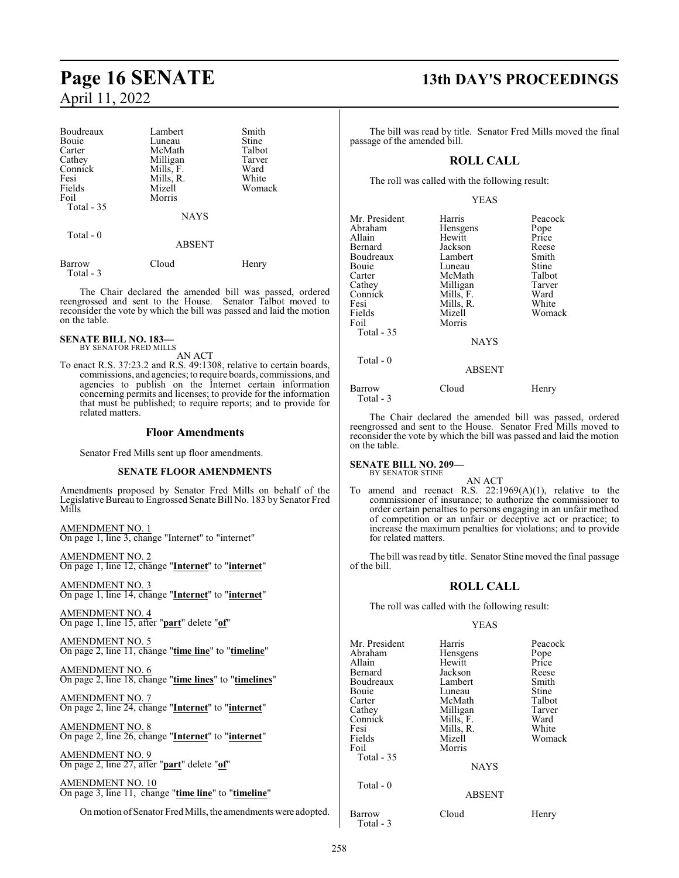| Boudreaux  | Lambert       | Smith  |
|------------|---------------|--------|
| Bouie      | Luneau        | Stine  |
| Carter     | McMath        | Talbot |
| Cathey     | Milligan      | Tarver |
| Connick    | Mills, F.     | Ward   |
| Fesi       | Mills, R.     | White  |
| Fields     | Mizell        | Womack |
| Foil       | Morris        |        |
| Total - 35 |               |        |
|            | <b>NAYS</b>   |        |
| Total - 0  |               |        |
|            | <b>ABSENT</b> |        |
| Barrow     | Cloud         | Henry  |

 Total - 3 The Chair declared the amended bill was passed, ordered reengrossed and sent to the House. Senator Talbot moved to reconsider the vote by which the bill was passed and laid the motion

#### **SENATE BILL NO. 183—** BY SENATOR FRED MILLS

on the table.

AN ACT

To enact R.S. 37:23.2 and R.S. 49:1308, relative to certain boards, commissions, and agencies; to require boards, commissions, and agencies to publish on the Internet certain information concerning permits and licenses; to provide for the information that must be published; to require reports; and to provide for related matters.

#### **Floor Amendments**

Senator Fred Mills sent up floor amendments.

#### **SENATE FLOOR AMENDMENTS**

Amendments proposed by Senator Fred Mills on behalf of the Legislative Bureau to Engrossed Senate Bill No. 183 by Senator Fred Mills

AMENDMENT NO. 1 On page 1, line 3, change "Internet" to "internet"

AMENDMENT NO. 2 On page 1, line 12, change "**Internet**" to "**internet**"

AMENDMENT NO. 3 On page 1, line 14, change "**Internet**" to "**internet**"

AMENDMENT NO. 4 On page 1, line 15, after "**part**" delete "**of**"

AMENDMENT NO. 5 On page 2, line 11, change "**time line**" to "**timeline**"

AMENDMENT NO. 6 On page 2, line 18, change "**time lines**" to "**timelines**"

AMENDMENT NO. 7 On page 2, line 24, change "**Internet**" to "**internet**"

AMENDMENT NO. 8 On page 2, line 26, change "**Internet**" to "**internet**"

AMENDMENT NO. 9 On page 2, line 27, after "**part**" delete "**of**"

AMENDMENT NO. 10 On page 3, line 11, change "**time line**" to "**timeline**"

On motion of Senator Fred Mills, the amendments were adopted.

## **Page 16 SENATE 13th DAY'S PROCEEDINGS**

The bill was read by title. Senator Fred Mills moved the final passage of the amended bill.

#### **ROLL CALL**

The roll was called with the following result:

YEAS

| Mr. President<br>Abraham<br>Allain<br>Bernard<br>Boudreaux<br>Bouie<br>Carter<br>Cathey<br>Connick<br>Fesi | Harris<br>Hensgens<br>Hewitt<br>Jackson<br>Lambert<br>Luneau<br>McMath<br>Milligan<br>Mills, F.<br>Mills, R. | Peacock<br>Pope<br>Price<br>Reese<br>Smith<br>Stine<br>Talbot<br>Tarver<br>Ward<br>White |
|------------------------------------------------------------------------------------------------------------|--------------------------------------------------------------------------------------------------------------|------------------------------------------------------------------------------------------|
| Fields<br>Foil<br>Total - 35                                                                               | Mizell<br>Morris<br><b>NAYS</b>                                                                              | Womack                                                                                   |
| Total - 0                                                                                                  | <b>ABSENT</b>                                                                                                |                                                                                          |
| Barrow<br>Total - 3                                                                                        | Cloud                                                                                                        | Henry                                                                                    |

The Chair declared the amended bill was passed, ordered reengrossed and sent to the House. Senator Fred Mills moved to reconsider the vote by which the bill was passed and laid the motion on the table.

**SENATE BILL NO. 209—** BY SENATOR STINE

AN ACT To amend and reenact R.S. 22:1969(A)(1), relative to the commissioner of insurance; to authorize the commissioner to order certain penalties to persons engaging in an unfair method of competition or an unfair or deceptive act or practice; to increase the maximum penalties for violations; and to provide for related matters.

The bill was read by title. Senator Stine moved the final passage of the bill.

#### **ROLL CALL**

The roll was called with the following result:

YEAS

| Mr. President<br>Abraham<br>Allain<br>Bernard<br>Boudreaux<br>Bouie<br>Carter<br>Cathey<br>Connick<br>Fesi<br>Fields<br>Foil<br>Total - 35 | Harris<br>Hensgens<br>Hewitt<br>Jackson<br>Lambert<br>Luneau<br>McMath<br>Milligan<br>Mills, F.<br>Mills, R.<br>Mizell<br>Morris<br><b>NAYS</b> | Peacock<br>Pope<br>Price<br>Reese<br>Smith<br>Stine<br>Talbot<br>Tarver<br>Ward<br>White<br>Womack |
|--------------------------------------------------------------------------------------------------------------------------------------------|-------------------------------------------------------------------------------------------------------------------------------------------------|----------------------------------------------------------------------------------------------------|
| Total $-0$                                                                                                                                 | <b>ABSENT</b>                                                                                                                                   |                                                                                                    |
| Barrow<br>Total - 3                                                                                                                        | Cloud                                                                                                                                           | Henry                                                                                              |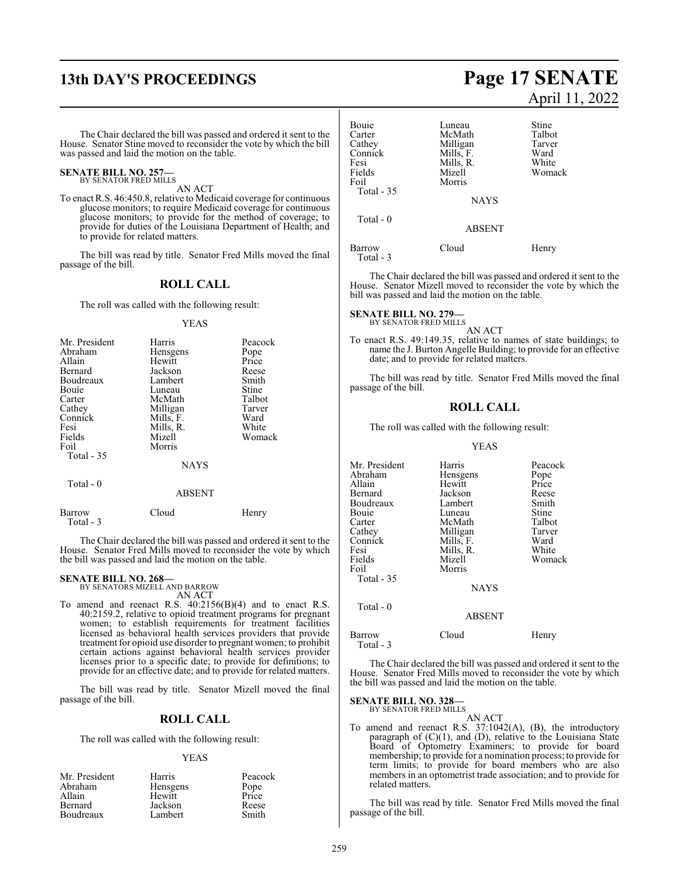The Chair declared the bill was passed and ordered it sent to the House. Senator Stine moved to reconsider the vote by which the bill was passed and laid the motion on the table.

#### **SENATE BILL NO. 257** BY SENATOR FRED MILLS

AN ACT

To enact R.S. 46:450.8, relative to Medicaid coverage for continuous glucose monitors; to require Medicaid coverage for continuous glucose monitors; to provide for the method of coverage; to provide for duties of the Louisiana Department of Health; and to provide for related matters.

The bill was read by title. Senator Fred Mills moved the final passage of the bill.

#### **ROLL CALL**

The roll was called with the following result:

#### YEAS

| Mr. President | Harris      | Peacock |
|---------------|-------------|---------|
| Abraham       | Hensgens    | Pope    |
| Allain        | Hewitt      | Price   |
| Bernard       | Jackson     | Reese   |
| Boudreaux     | Lambert     | Smith   |
| Bouie         | Luneau      | Stine   |
| Carter        | McMath      | Talbot  |
| Cathey        | Milligan    | Tarver  |
| Connick       | Mills, F.   | Ward    |
| Fesi          | Mills, R.   | White   |
| Fields        | Mizell      | Womack  |
| Foil          | Morris      |         |
| Total - 35    |             |         |
|               | <b>NAYS</b> |         |

Total - 0

#### ABSENT

Barrow Cloud Henry Total - 3

The Chair declared the bill was passed and ordered it sent to the House. Senator Fred Mills moved to reconsider the vote by which the bill was passed and laid the motion on the table.

## **SENATE BILL NO. 268—** BY SENATORS MIZELL AND BARROW

AN ACT

To amend and reenact R.S. 40:2156(B)(4) and to enact R.S. 40:2159.2, relative to opioid treatment programs for pregnant women; to establish requirements for treatment facilities licensed as behavioral health services providers that provide treatment for opioid use disorder to pregnant women; to prohibit certain actions against behavioral health services provider licenses prior to a specific date; to provide for definitions; to provide for an effective date; and to provide for related matters.

The bill was read by title. Senator Mizell moved the final passage of the bill.

#### **ROLL CALL**

The roll was called with the following result:

#### YEAS

| Mr. President  | Harris   | Peacock       |
|----------------|----------|---------------|
| Abraham        | Hensgens | Pope<br>Price |
| Allain         | Hewitt   |               |
| <b>Bernard</b> | Jackson  | Reese         |
| Boudreaux      | Lambert  | Smith         |

## **13th DAY'S PROCEEDINGS Page 17 SENATE** April 11, 2022

| Luneau        | Stine     |
|---------------|-----------|
| McMath        | Talbot    |
| Milligan      | Tarver    |
|               | Ward      |
| Mills, R.     | White     |
| Mizell        | Womack    |
| Morris        |           |
|               |           |
| <b>NAYS</b>   |           |
|               |           |
| <b>ABSENT</b> |           |
| Cloud         | Henry     |
|               | Mills, F. |

The Chair declared the bill was passed and ordered it sent to the House. Senator Mizell moved to reconsider the vote by which the bill was passed and laid the motion on the table.

## **SENATE BILL NO. 279—** BY SENATOR FRED MILLS

AN ACT

To enact R.S. 49:149.35, relative to names of state buildings; to name the J. Burton Angelle Building; to provide for an effective date; and to provide for related matters.

The bill was read by title. Senator Fred Mills moved the final passage of the bill.

#### **ROLL CALL**

The roll was called with the following result:

#### YEAS

| Mr. President       | Harris        | Peacock |
|---------------------|---------------|---------|
| Abraham             | Hensgens      | Pope    |
| Allain              | Hewitt        | Price   |
| Bernard             | Jackson       | Reese   |
| Boudreaux           | Lambert       | Smith   |
| Bouie               | Luneau        | Stine   |
| Carter              | McMath        | Talbot  |
| Cathey              | Milligan      | Tarver  |
| Connick             | Mills, F.     | Ward    |
| Fesi                | Mills, R.     | White   |
| Fields              | Mizell        | Womack  |
| Foil                | Morris        |         |
| Total - 35          |               |         |
|                     | <b>NAYS</b>   |         |
| Total - 0           |               |         |
|                     | <b>ABSENT</b> |         |
| Barrow<br>Total - 3 | Cloud         | Henry   |

The Chair declared the bill was passed and ordered it sent to the House. Senator Fred Mills moved to reconsider the vote by which the bill was passed and laid the motion on the table.

**SENATE BILL NO. 328—**

BY SENATOR FRED MILLS

AN ACT To amend and reenact R.S. 37:1042(A), (B), the introductory paragraph of (C)(1), and (D), relative to the Louisiana State Board of Optometry Examiners; to provide for board membership; to provide for a nomination process; to provide for term limits; to provide for board members who are also members in an optometrist trade association; and to provide for related matters.

The bill was read by title. Senator Fred Mills moved the final passage of the bill.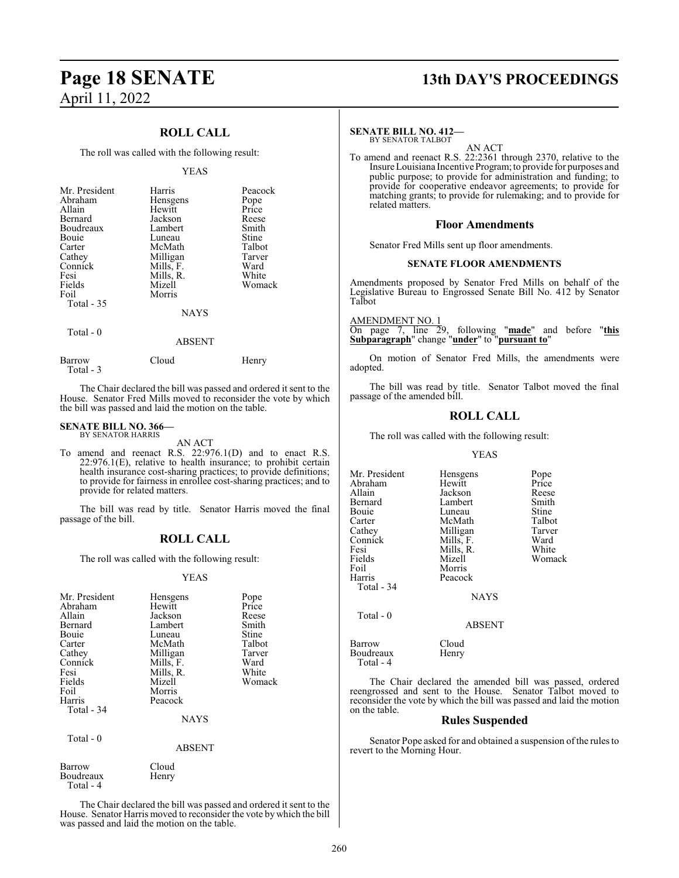## **Page 18 SENATE 13th DAY'S PROCEEDINGS** April 11, 2022

#### **ROLL CALL**

The roll was called with the following result:

#### YEAS

| Mr. President | Harris      | Peacock |
|---------------|-------------|---------|
| Abraham       | Hensgens    | Pope    |
| Allain        | Hewitt      | Price   |
| Bernard       | Jackson     | Reese   |
| Boudreaux     | Lambert     | Smith   |
| Bouie         | Luneau      | Stine   |
| Carter        | McMath      | Talbot  |
| Cathey        | Milligan    | Tarver  |
| Connick       | Mills, F.   | Ward    |
| Fesi          | Mills, R.   | White   |
| Fields        | Mizell      | Womack  |
| Foil          | Morris      |         |
| Total $-35$   |             |         |
|               | <b>NAYS</b> |         |
| Total - 0     |             |         |
|               | ABSENT      |         |

Barrow Cloud Henry

The Chair declared the bill was passed and ordered it sent to the House. Senator Fred Mills moved to reconsider the vote by which the bill was passed and laid the motion on the table.

#### **SENATE BILL NO. 366—** BY SENATOR HARRIS

Total - 3

AN ACT

To amend and reenact R.S. 22:976.1(D) and to enact R.S.  $22:976.1(E)$ , relative to health insurance; to prohibit certain health insurance cost-sharing practices; to provide definitions; to provide for fairness in enrollee cost-sharing practices; and to provide for related matters.

The bill was read by title. Senator Harris moved the final passage of the bill.

#### **ROLL CALL**

The roll was called with the following result:

#### YEAS

| Mr. President<br>Abraham<br>Allain<br>Bernard<br>Bouie<br>Carter<br>Cathey<br>Connick<br>Fesi<br>Fields<br>Foil<br>Harris<br>Total - 34 | Hensgens<br>Hewitt<br>Jackson<br>Lambert<br>Luneau<br>McMath<br>Milligan<br>Mills, F.<br>Mills, R.<br>Mizell<br>Morris<br>Peacock | Pope<br>Price<br>Reese<br>Smith<br>Stine<br>Talbot<br>Tarver<br>Ward<br>White<br>Womack |
|-----------------------------------------------------------------------------------------------------------------------------------------|-----------------------------------------------------------------------------------------------------------------------------------|-----------------------------------------------------------------------------------------|
|                                                                                                                                         | <b>NAYS</b>                                                                                                                       |                                                                                         |
| Total - 0                                                                                                                               | <b>ABSENT</b>                                                                                                                     |                                                                                         |
| $D$ - $\cdots$ - $\cdots$                                                                                                               | $C1 - 1$                                                                                                                          |                                                                                         |

Barrow Cloud<br>Boudreaux Henry Boudreaux Total - 4

The Chair declared the bill was passed and ordered it sent to the House. Senator Harris moved to reconsider the vote by which the bill was passed and laid the motion on the table.

#### **SENATE BILL NO. 412—** BY SENATOR TALBOT

AN ACT

To amend and reenact R.S. 22:2361 through 2370, relative to the Insure Louisiana Incentive Program; to provide for purposes and public purpose; to provide for administration and funding; to provide for cooperative endeavor agreements; to provide for matching grants; to provide for rulemaking; and to provide for related matters.

#### **Floor Amendments**

Senator Fred Mills sent up floor amendments.

#### **SENATE FLOOR AMENDMENTS**

Amendments proposed by Senator Fred Mills on behalf of the Legislative Bureau to Engrossed Senate Bill No. 412 by Senator Talbot

AMENDMENT NO. 1

On page 7, line 29, following "**made**" and before "**this Subparagraph**" change "**under**" to "**pursuant to**"

On motion of Senator Fred Mills, the amendments were adopted.

The bill was read by title. Senator Talbot moved the final passage of the amended bill.

#### **ROLL CALL**

The roll was called with the following result:

#### YEAS

| Mr. President          | Hensgens      | Pope   |
|------------------------|---------------|--------|
| Abraham                | Hewitt        | Price  |
| Allain                 | Jackson       | Reese  |
| Bernard                | Lambert       | Smith  |
| Bouie                  | Luneau        | Stine  |
| Carter                 | McMath        | Talbot |
| Cathey                 | Milligan      | Tarver |
| Connick                | Mills, F.     | Ward   |
| Fesi                   | Mills, R.     | White  |
| Fields                 | Mizell        | Womack |
| Foil                   | Morris        |        |
| Harris                 | Peacock       |        |
| Total - 34             |               |        |
|                        | <b>NAYS</b>   |        |
| Total - 0              |               |        |
|                        | <b>ABSENT</b> |        |
| Barrow                 | Cloud         |        |
| Boudreaux<br>Total - 4 | Henry         |        |

The Chair declared the amended bill was passed, ordered reengrossed and sent to the House. Senator Talbot moved to reconsider the vote by which the bill was passed and laid the motion on the table.

### **Rules Suspended**

Senator Pope asked for and obtained a suspension of the rules to revert to the Morning Hour.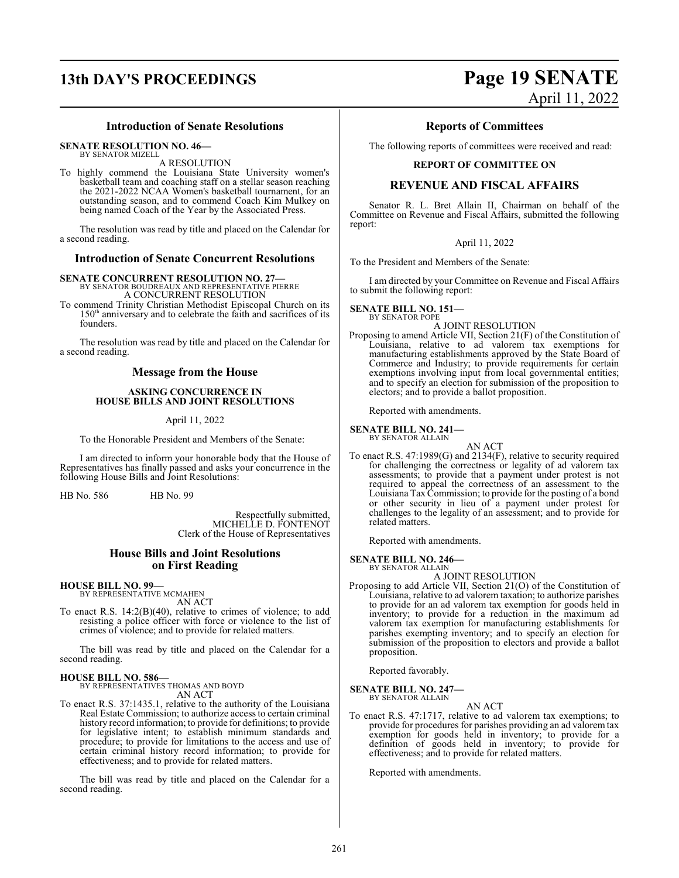#### **Introduction of Senate Resolutions**

**SENATE RESOLUTION NO. 46—**

BY SENATOR MIZELL A RESOLUTION

To highly commend the Louisiana State University women's basketball team and coaching staff on a stellar season reaching the 2021-2022 NCAA Women's basketball tournament, for an outstanding season, and to commend Coach Kim Mulkey on being named Coach of the Year by the Associated Press.

The resolution was read by title and placed on the Calendar for a second reading.

#### **Introduction of Senate Concurrent Resolutions**

## **SENATE CONCURRENT RESOLUTION NO. 27—**

BY SENATOR BOUDREAUX AND REPRESENTATIVE PIERRE A CONCURRENT RESOLUTION

To commend Trinity Christian Methodist Episcopal Church on its 150<sup>th</sup> anniversary and to celebrate the faith and sacrifices of its founders.

The resolution was read by title and placed on the Calendar for a second reading.

#### **Message from the House**

#### **ASKING CONCURRENCE IN HOUSE BILLS AND JOINT RESOLUTIONS**

April 11, 2022

To the Honorable President and Members of the Senate:

I am directed to inform your honorable body that the House of Representatives has finally passed and asks your concurrence in the following House Bills and Joint Resolutions:

HB No. 586 HB No. 99

Respectfully submitted, MICHELLE D. FONTENOT Clerk of the House of Representatives

#### **House Bills and Joint Resolutions on First Reading**

#### **HOUSE BILL NO. 99—**

BY REPRESENTATIVE MCMAHEN AN ACT

To enact R.S. 14:2(B)(40), relative to crimes of violence; to add resisting a police officer with force or violence to the list of crimes of violence; and to provide for related matters.

The bill was read by title and placed on the Calendar for a second reading.

#### **HOUSE BILL NO. 586—**

BY REPRESENTATIVES THOMAS AND BOYD

AN ACT

To enact R.S. 37:1435.1, relative to the authority of the Louisiana Real Estate Commission; to authorize access to certain criminal history record information; to provide for definitions; to provide for legislative intent; to establish minimum standards and procedure; to provide for limitations to the access and use of certain criminal history record information; to provide for effectiveness; and to provide for related matters.

The bill was read by title and placed on the Calendar for a second reading.

## **13th DAY'S PROCEEDINGS Page 19 SENATE** April 11, 2022

#### **Reports of Committees**

The following reports of committees were received and read:

#### **REPORT OF COMMITTEE ON**

#### **REVENUE AND FISCAL AFFAIRS**

Senator R. L. Bret Allain II, Chairman on behalf of the Committee on Revenue and Fiscal Affairs, submitted the following report:

#### April 11, 2022

To the President and Members of the Senate:

I am directed by your Committee on Revenue and Fiscal Affairs to submit the following report:

#### **SENATE BILL NO. 151—** BY SENATOR POPE

A JOINT RESOLUTION

Proposing to amend Article VII, Section 21(F) of the Constitution of Louisiana, relative to ad valorem tax exemptions for manufacturing establishments approved by the State Board of Commerce and Industry; to provide requirements for certain exemptions involving input from local governmental entities; and to specify an election for submission of the proposition to electors; and to provide a ballot proposition.

Reported with amendments.

#### **SENATE BILL NO. 241—**

BY SENATOR ALLAIN AN ACT To enact R.S. 47:1989(G) and 2134(F), relative to security required for challenging the correctness or legality of ad valorem tax assessments; to provide that a payment under protest is not required to appeal the correctness of an assessment to the Louisiana TaxCommission; to provide for the posting of a bond or other security in lieu of a payment under protest for challenges to the legality of an assessment; and to provide for related matters.

Reported with amendments.

#### **SENATE BILL NO. 246—** BY SENATOR ALLAIN

A JOINT RESOLUTION

Proposing to add Article VII, Section 21(O) of the Constitution of Louisiana, relative to ad valorem taxation; to authorize parishes to provide for an ad valorem tax exemption for goods held in inventory; to provide for a reduction in the maximum ad valorem tax exemption for manufacturing establishments for parishes exempting inventory; and to specify an election for submission of the proposition to electors and provide a ballot proposition.

Reported favorably.

#### **SENATE BILL NO. 247—** BY SENATOR ALLAIN

AN ACT

To enact R.S. 47:1717, relative to ad valorem tax exemptions; to provide for procedures for parishes providing an ad valorem tax exemption for goods held in inventory; to provide for a definition of goods held in inventory; to provide for effectiveness; and to provide for related matters.

Reported with amendments.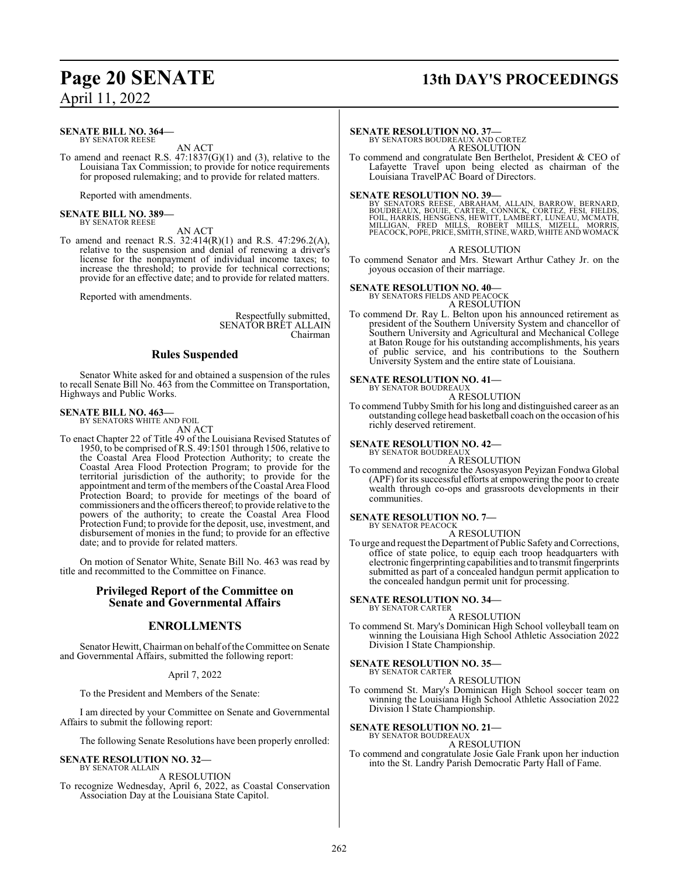## **Page 20 SENATE 13th DAY'S PROCEEDINGS**

April 11, 2022

#### **SENATE BILL NO. 364—** BY SENATOR REESE

AN ACT

To amend and reenact R.S.  $47:1837(G)(1)$  and (3), relative to the Louisiana Tax Commission; to provide for notice requirements for proposed rulemaking; and to provide for related matters.

Reported with amendments.

#### **SENATE BILL NO. 389—** BY SENATOR REESE

AN ACT

To amend and reenact R.S. 32:414(R)(1) and R.S. 47:296.2(A), relative to the suspension and denial of renewing a driver's license for the nonpayment of individual income taxes; to increase the threshold; to provide for technical corrections; provide for an effective date; and to provide for related matters.

Reported with amendments.

Respectfully submitted, SENATORBRET ALLAIN Chairman

#### **Rules Suspended**

Senator White asked for and obtained a suspension of the rules to recall Senate Bill No. 463 from the Committee on Transportation, Highways and Public Works.

#### **SENATE BILL NO. 463—** BY SENATORS WHITE AND FOIL

AN ACT

To enact Chapter 22 of Title 49 of the Louisiana Revised Statutes of 1950, to be comprised ofR.S. 49:1501 through 1506, relative to the Coastal Area Flood Protection Authority; to create the Coastal Area Flood Protection Program; to provide for the territorial jurisdiction of the authority; to provide for the appointment and term of the members of the Coastal Area Flood Protection Board; to provide for meetings of the board of commissioners and the officers thereof; to provide relative to the powers of the authority; to create the Coastal Area Flood Protection Fund; to provide for the deposit, use, investment, and disbursement of monies in the fund; to provide for an effective date; and to provide for related matters.

On motion of Senator White, Senate Bill No. 463 was read by title and recommitted to the Committee on Finance.

#### **Privileged Report of the Committee on Senate and Governmental Affairs**

#### **ENROLLMENTS**

Senator Hewitt, Chairman on behalf of the Committee on Senate and Governmental Affairs, submitted the following report:

#### April 7, 2022

To the President and Members of the Senate:

I am directed by your Committee on Senate and Governmental Affairs to submit the following report:

The following Senate Resolutions have been properly enrolled:

#### **SENATE RESOLUTION NO. 32—** BY SENATOR ALLAIN

A RESOLUTION

To recognize Wednesday, April 6, 2022, as Coastal Conservation Association Day at the Louisiana State Capitol.

## **SENATE RESOLUTION NO. 37—** BY SENATORS BOUDREAUX AND CORTEZ

A RESOLUTION

To commend and congratulate Ben Berthelot, President & CEO of Lafayette Travel upon being elected as chairman of the Louisiana TravelPAC Board of Directors.

#### **SENATE RESOLUTION NO. 39—**

BY SENATORS REESE, ABRAHAM, ALLAIN, BARROW, BERNARD,<br>BOUDREAUX, BOUIE, CARTER, CONNICK, CORTEZ, FESI, FIELDS,<br>FOIL, HARRIS, HENSGENS, HEWITT, LAMBERT, LUNEAU, MCMATH,<br>MILLIGAN, FRED MILLS, ROBERT MILLS, MIZELL, MORRIS,<br>PEA

#### A RESOLUTION

To commend Senator and Mrs. Stewart Arthur Cathey Jr. on the joyous occasion of their marriage.

## **SENATE RESOLUTION NO. 40—** BY SENATORS FIELDS AND PEACOCK

A RESOLUTION

To commend Dr. Ray L. Belton upon his announced retirement as president of the Southern University System and chancellor of Southern University and Agricultural and Mechanical College at Baton Rouge for his outstanding accomplishments, his years of public service, and his contributions to the Southern University System and the entire state of Louisiana.

#### **SENATE RESOLUTION NO. 41—** BY SENATOR BOUDREAUX

A RESOLUTION

To commend Tubby Smith for his long and distinguished career as an outstanding college head basketball coach on the occasion of his richly deserved retirement.

#### **SENATE RESOLUTION NO. 42—** BY SENATOR BOUDREAUX

A RESOLUTION

To commend and recognize the Asosyasyon Peyizan Fondwa Global (APF) for its successful efforts at empowering the poor to create wealth through co-ops and grassroots developments in their communities.

#### **SENATE RESOLUTION NO. 7—** BY SENATOR PEACOCK

A RESOLUTION

To urge and request the Department of Public Safety and Corrections, office of state police, to equip each troop headquarters with electronic fingerprinting capabilities and to transmit fingerprints submitted as part of a concealed handgun permit application to the concealed handgun permit unit for processing.

#### **SENATE RESOLUTION NO. 34—** BY SENATOR CARTER

A RESOLUTION

To commend St. Mary's Dominican High School volleyball team on winning the Louisiana High School Athletic Association 2022 Division I State Championship.

#### **SENATE RESOLUTION NO. 35—**

BY SENATOR CARTER A RESOLUTION

To commend St. Mary's Dominican High School soccer team on winning the Louisiana High School Athletic Association 2022 Division I State Championship.

## **SENATE RESOLUTION NO. 21—**<br>BY SENATOR BOUDREAUX

A RESOLUTION

To commend and congratulate Josie Gale Frank upon her induction into the St. Landry Parish Democratic Party Hall of Fame.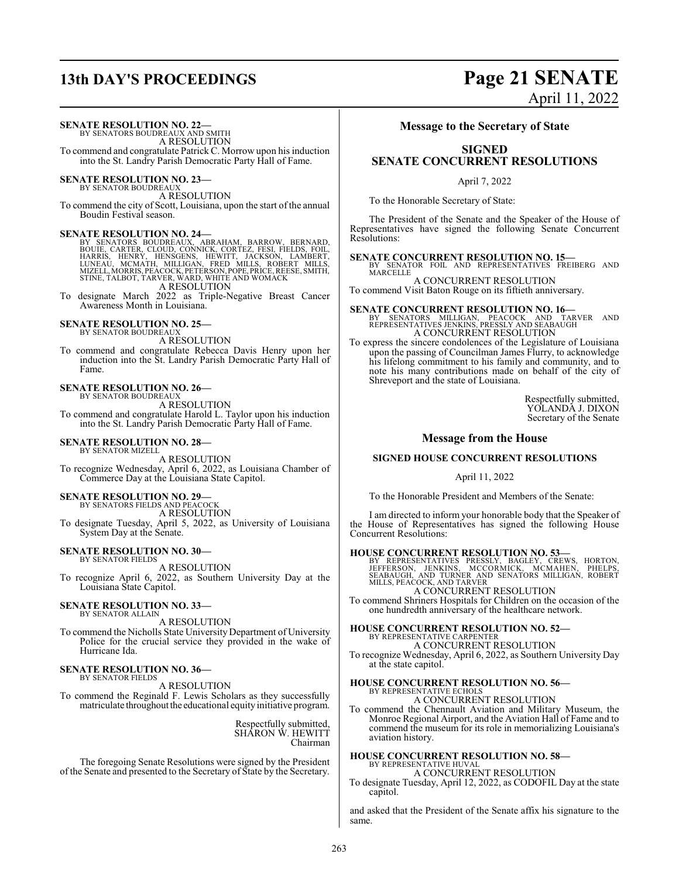## **13th DAY'S PROCEEDINGS Page 21 SENATE**

# April 11, 2022

**SENATE RESOLUTION NO. 22—**

BY SENATORS BOUDREAUX AND SMITH A RESOLUTION To commend and congratulate Patrick C. Morrow upon his induction into the St. Landry Parish Democratic Party Hall of Fame.

## **SENATE RESOLUTION NO. 23—**<br>BY SENATOR BOUDREAUX

A RESOLUTION To commend the city of Scott, Louisiana, upon the start of the annual Boudin Festival season.

#### **SENATE RESOLUTION NO. 24—**

BY SENATORS BOUDREAUX, ABRAHAM, BARROW, BERNARD,<br>BOUIE, CARTER, CLOUD, CONNICK, CORTEZ, FESI, FIELDS, FOIL,<br>HARRIS, HENRY, HENSGENS, HEWITT, JACKSON, LAMBERT,<br>LUNEAU, MCMATH, MILLIGAN, FRED MILLS, ROBERT MILLS,<br>MIZELL,MORR

To designate March 2022 as Triple-Negative Breast Cancer Awareness Month in Louisiana.

### **SENATE RESOLUTION NO. 25—**

BY SENATOR BOUDREAUX

A RESOLUTION To commend and congratulate Rebecca Davis Henry upon her induction into the St. Landry Parish Democratic Party Hall of Fame.

#### **SENATE RESOLUTION NO. 26—** BY SENATOR BOUDREAUX

A RESOLUTION

To commend and congratulate Harold L. Taylor upon his induction into the St. Landry Parish Democratic Party Hall of Fame.

#### **SENATE RESOLUTION NO. 28—**

BY SENATOR MIZELL A RESOLUTION To recognize Wednesday, April 6, 2022, as Louisiana Chamber of Commerce Day at the Louisiana State Capitol.

### **SENATE RESOLUTION NO. 29—**

BY SENATORS FIELDS AND PEACOCK

A RESOLUTION To designate Tuesday, April 5, 2022, as University of Louisiana System Day at the Senate.

#### **SENATE RESOLUTION NO. 30—**

BY SENATOR FIELDS A RESOLUTION To recognize April 6, 2022, as Southern University Day at the Louisiana State Capitol.

#### **SENATE RESOLUTION NO. 33—** BY SENATOR ALLAIN

A RESOLUTION

To commend the Nicholls State University Department of University Police for the crucial service they provided in the wake of Hurricane Ida.

#### **SENATE RESOLUTION NO. 36—** BY SENATOR FIELDS

A RESOLUTION

To commend the Reginald F. Lewis Scholars as they successfully matriculate throughout the educational equity initiative program.

> Respectfully submitted, SHARON W. HEWITT Chairman

The foregoing Senate Resolutions were signed by the President of the Senate and presented to the Secretary of State by the Secretary.

#### **Message to the Secretary of State**

## **SIGNED SENATE CONCURRENT RESOLUTIONS**

April 7, 2022

To the Honorable Secretary of State:

The President of the Senate and the Speaker of the House of Representatives have signed the following Senate Concurrent Resolutions:

**SENATE CONCURRENT RESOLUTION NO. 15—** BY SENATOR FOIL AND REPRESENTATIVES FREIBERG AND MARCELLE

A CONCURRENT RESOLUTION To commend Visit Baton Rouge on its fiftieth anniversary.

**SENATE CONCURRENT RESOLUTION NO. 16—**<br>BY SENATORS MILLIGAN, PEACOCK AND TARVER AND<br>REPRESENTATIVES JENKINS, PRESSLY AND SEABAUGH A CONCURRENT RESOLUTION

To express the sincere condolences of the Legislature of Louisiana upon the passing of Councilman James Flurry, to acknowledge his lifelong commitment to his family and community, and to note his many contributions made on behalf of the city of Shreveport and the state of Louisiana.

> Respectfully submitted, YOLANDA J. DIXON Secretary of the Senate

#### **Message from the House**

#### **SIGNED HOUSE CONCURRENT RESOLUTIONS**

April 11, 2022

To the Honorable President and Members of the Senate:

I am directed to inform your honorable body that the Speaker of the House of Representatives has signed the following House Concurrent Resolutions:

**HOUSE CONCURRENT RESOLUTION NO. 53—**<br>BY REPRESENTATIVES PRESSLY, BAGLEY, CREWS, HORTON,<br>JEFFERSON, JENKINS, MCCORMICK, MCMAHEN, PHELPS,<br>SEABAUGH, AND TURNER AND SENATORS MILLIGAN, ROBERT<br>MILLS, PEACOCK, AND TARVER

A CONCURRENT RESOLUTION To commend Shriners Hospitals for Children on the occasion of the

one hundredth anniversary of the healthcare network.

#### **HOUSE CONCURRENT RESOLUTION NO. 52—**

BY REPRESENTATIVE CARPENTER A CONCURRENT RESOLUTION

To recognize Wednesday, April 6, 2022, as Southern University Day at the state capitol.

## **HOUSE CONCURRENT RESOLUTION NO. 56—** BY REPRESENTATIVE ECHOLS

A CONCURRENT RESOLUTION

To commend the Chennault Aviation and Military Museum, the Monroe Regional Airport, and the Aviation Hall of Fame and to commend the museum for its role in memorializing Louisiana's aviation history.

# **HOUSE CONCURRENT RESOLUTION NO. 58—** BY REPRESENTATIVE HUVAL

A CONCURRENT RESOLUTION To designate Tuesday, April 12, 2022, as CODOFIL Day at the state capitol.

and asked that the President of the Senate affix his signature to the same.